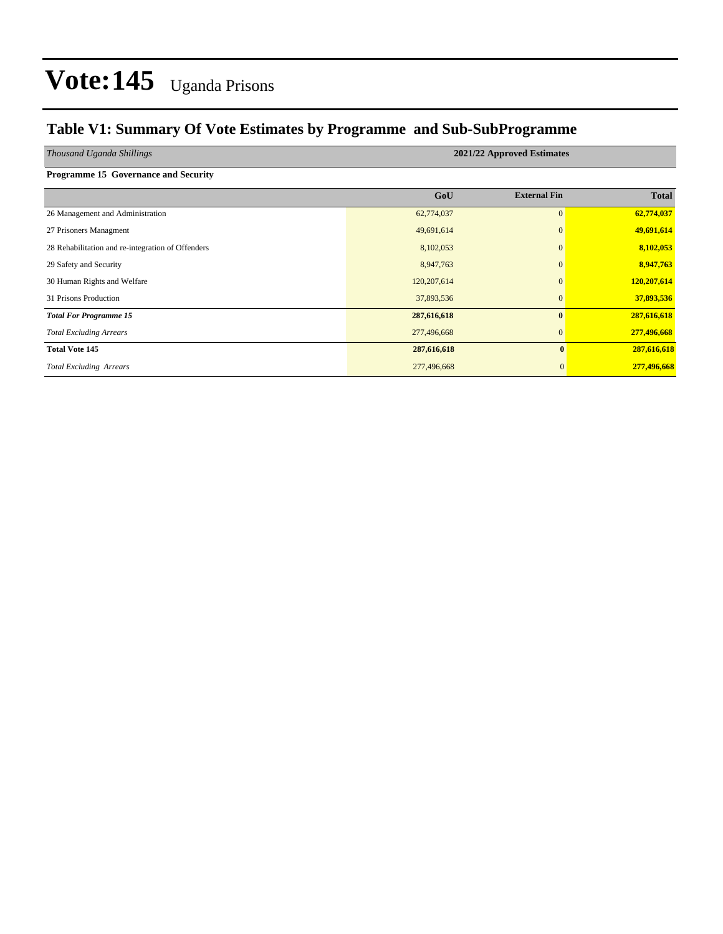### **Table V1: Summary Of Vote Estimates by Programme and Sub-SubProgramme**

*Thousand Uganda Shillings* **2021/22 Approved Estimates**

| <b>Programme 15 Governance and Security</b> |  |  |
|---------------------------------------------|--|--|
|---------------------------------------------|--|--|

|                                                   | GoU         | <b>External Fin</b> | <b>Total</b> |
|---------------------------------------------------|-------------|---------------------|--------------|
| 26 Management and Administration                  | 62,774,037  | $\mathbf{0}$        | 62,774,037   |
| 27 Prisoners Managment                            | 49,691,614  | $\mathbf{0}$        | 49,691,614   |
| 28 Rehabilitation and re-integration of Offenders | 8,102,053   | $\mathbf{0}$        | 8,102,053    |
| 29 Safety and Security                            | 8,947,763   | $\Omega$            | 8,947,763    |
| 30 Human Rights and Welfare                       | 120,207,614 | $\mathbf{0}$        | 120,207,614  |
| 31 Prisons Production                             | 37,893,536  | $\mathbf{0}$        | 37,893,536   |
| <b>Total For Programme 15</b>                     | 287,616,618 | $\mathbf{0}$        | 287,616,618  |
| <b>Total Excluding Arrears</b>                    | 277,496,668 | $\mathbf{0}$        | 277,496,668  |
| <b>Total Vote 145</b>                             | 287,616,618 | $\mathbf{0}$        | 287,616,618  |
| <b>Total Excluding Arrears</b>                    | 277,496,668 | $\mathbf{0}$        | 277,496,668  |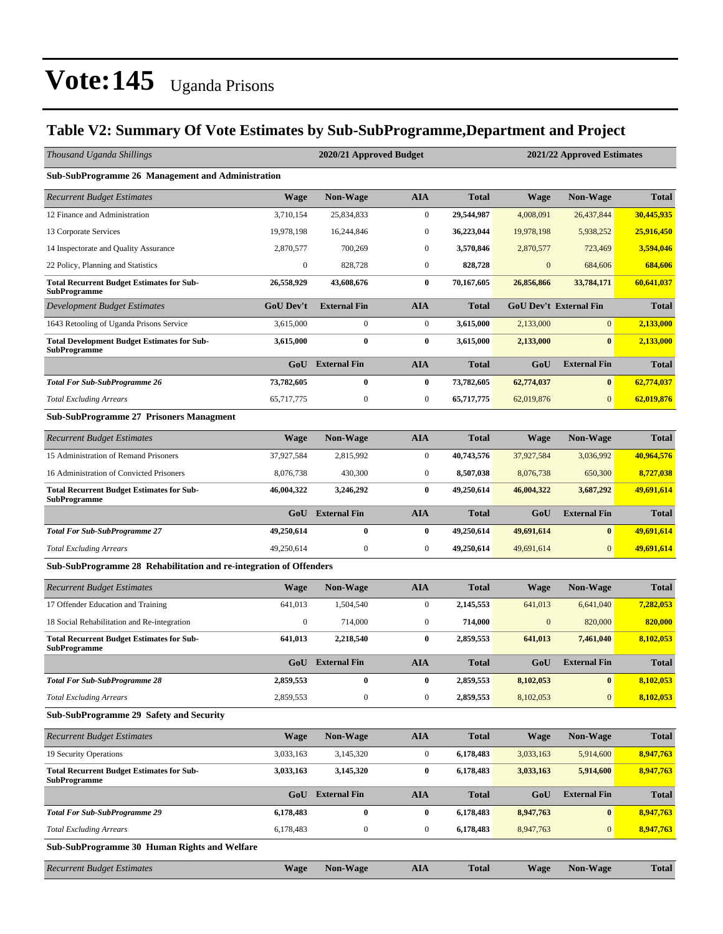### **Table V2: Summary Of Vote Estimates by Sub-SubProgramme,Department and Project**

| Thousand Uganda Shillings                                                 |                  | 2020/21 Approved Budget |                  | 2021/22 Approved Estimates |                  |                               |              |  |  |  |  |
|---------------------------------------------------------------------------|------------------|-------------------------|------------------|----------------------------|------------------|-------------------------------|--------------|--|--|--|--|
| Sub-SubProgramme 26 Management and Administration                         |                  |                         |                  |                            |                  |                               |              |  |  |  |  |
| <b>Recurrent Budget Estimates</b>                                         | Wage             | <b>Non-Wage</b>         | AIA              | Total                      | <b>Wage</b>      | <b>Non-Wage</b>               | <b>Total</b> |  |  |  |  |
| 12 Finance and Administration                                             | 3,710,154        | 25,834,833              | $\boldsymbol{0}$ | 29,544,987                 | 4,008,091        | 26,437,844                    | 30,445,935   |  |  |  |  |
| 13 Corporate Services                                                     | 19,978,198       | 16,244,846              | $\boldsymbol{0}$ | 36,223,044                 | 19,978,198       | 5,938,252                     | 25,916,450   |  |  |  |  |
| 14 Inspectorate and Quality Assurance                                     | 2,870,577        | 700,269                 | $\boldsymbol{0}$ | 3,570,846                  | 2,870,577        | 723,469                       | 3,594,046    |  |  |  |  |
| 22 Policy, Planning and Statistics                                        | $\bf{0}$         | 828,728                 | $\boldsymbol{0}$ | 828,728                    | $\boldsymbol{0}$ | 684,606                       | 684,606      |  |  |  |  |
| <b>Total Recurrent Budget Estimates for Sub-</b><br><b>SubProgramme</b>   | 26,558,929       | 43,608,676              | $\bf{0}$         | 70,167,605                 | 26,856,866       | 33,784,171                    | 60,641,037   |  |  |  |  |
| Development Budget Estimates                                              | <b>GoU Dev't</b> | <b>External Fin</b>     | AIA              | Total                      |                  | <b>GoU Dev't External Fin</b> | <b>Total</b> |  |  |  |  |
| 1643 Retooling of Uganda Prisons Service                                  | 3,615,000        | $\mathbf{0}$            | $\boldsymbol{0}$ | 3,615,000                  | 2,133,000        | $\overline{0}$                | 2,133,000    |  |  |  |  |
| <b>Total Development Budget Estimates for Sub-</b><br><b>SubProgramme</b> | 3,615,000        | $\bf{0}$                | $\bf{0}$         | 3,615,000                  | 2,133,000        | $\bf{0}$                      | 2,133,000    |  |  |  |  |
|                                                                           | GoU              | <b>External Fin</b>     | <b>AIA</b>       | <b>Total</b>               | GoU              | <b>External Fin</b>           | <b>Total</b> |  |  |  |  |
| <b>Total For Sub-SubProgramme 26</b>                                      | 73,782,605       | $\bf{0}$                | $\bf{0}$         | 73,782,605                 | 62,774,037       | $\bf{0}$                      | 62,774,037   |  |  |  |  |
| <b>Total Excluding Arrears</b>                                            | 65,717,775       | $\mathbf{0}$            | $\boldsymbol{0}$ | 65,717,775                 | 62,019,876       | $\overline{0}$                | 62,019,876   |  |  |  |  |
| <b>Sub-SubProgramme 27 Prisoners Managment</b>                            |                  |                         |                  |                            |                  |                               |              |  |  |  |  |
| <b>Recurrent Budget Estimates</b>                                         | <b>Wage</b>      | <b>Non-Wage</b>         | <b>AIA</b>       | <b>Total</b>               | <b>Wage</b>      | <b>Non-Wage</b>               | <b>Total</b> |  |  |  |  |
| 15 Administration of Remand Prisoners                                     | 37,927,584       | 2,815,992               | $\boldsymbol{0}$ | 40,743,576                 | 37,927,584       | 3,036,992                     | 40,964,576   |  |  |  |  |
| 16 Administration of Convicted Prisoners                                  | 8,076,738        | 430,300                 | $\boldsymbol{0}$ | 8,507,038                  | 8,076,738        | 650,300                       | 8,727,038    |  |  |  |  |
| <b>Total Recurrent Budget Estimates for Sub-</b><br><b>SubProgramme</b>   | 46,004,322       | 3,246,292               | $\bf{0}$         | 49,250,614                 | 46,004,322       | 3,687,292                     | 49,691,614   |  |  |  |  |
|                                                                           | GoU              | <b>External Fin</b>     | <b>AIA</b>       | <b>Total</b>               | GoU              | <b>External Fin</b>           | <b>Total</b> |  |  |  |  |
| <b>Total For Sub-SubProgramme 27</b>                                      | 49,250,614       | $\bf{0}$                | $\bf{0}$         | 49,250,614                 | 49,691,614       | $\mathbf{0}$                  | 49,691,614   |  |  |  |  |
| <b>Total Excluding Arrears</b>                                            | 49,250,614       | $\mathbf{0}$            | $\boldsymbol{0}$ | 49,250,614                 | 49,691,614       | $\overline{0}$                | 49,691,614   |  |  |  |  |
| Sub-SubProgramme 28 Rehabilitation and re-integration of Offenders        |                  |                         |                  |                            |                  |                               |              |  |  |  |  |
| <b>Recurrent Budget Estimates</b>                                         | <b>Wage</b>      | <b>Non-Wage</b>         | <b>AIA</b>       | <b>Total</b>               | <b>Wage</b>      | <b>Non-Wage</b>               | <b>Total</b> |  |  |  |  |
| 17 Offender Education and Training                                        | 641,013          | 1.504.540               | $\boldsymbol{0}$ | 2.145.553                  | 641,013          | 6,641,040                     | 7,282,053    |  |  |  |  |
| 18 Social Rehabilitation and Re-integration                               | $\boldsymbol{0}$ | 714,000                 | $\boldsymbol{0}$ | 714,000                    | $\boldsymbol{0}$ | 820,000                       | 820,000      |  |  |  |  |
| <b>Total Recurrent Budget Estimates for Sub-</b><br><b>SubProgramme</b>   | 641,013          | 2,218,540               | $\bf{0}$         | 2,859,553                  | 641,013          | 7,461,040                     | 8,102,053    |  |  |  |  |
|                                                                           | GoU              | <b>External Fin</b>     | <b>AIA</b>       | <b>Total</b>               | GoU              | <b>External Fin</b>           | <b>Total</b> |  |  |  |  |
| <b>Total For Sub-SubProgramme 28</b>                                      | 2,859,553        | $\bf{0}$                | $\bf{0}$         | 2,859,553                  | 8,102,053        | $\bf{0}$                      | 8,102,053    |  |  |  |  |
| <b>Total Excluding Arrears</b>                                            | 2,859,553        | $\boldsymbol{0}$        | $\boldsymbol{0}$ | 2,859,553                  | 8,102,053        | $\mathbf{0}$                  | 8,102,053    |  |  |  |  |
| Sub-SubProgramme 29 Safety and Security                                   |                  |                         |                  |                            |                  |                               |              |  |  |  |  |
| <b>Recurrent Budget Estimates</b>                                         | <b>Wage</b>      | Non-Wage                | AIA              | <b>Total</b>               | <b>Wage</b>      | Non-Wage                      | <b>Total</b> |  |  |  |  |
| 19 Security Operations                                                    | 3,033,163        | 3,145,320               | $\boldsymbol{0}$ | 6,178,483                  | 3,033,163        | 5,914,600                     | 8,947,763    |  |  |  |  |
| <b>Total Recurrent Budget Estimates for Sub-</b><br><b>SubProgramme</b>   | 3,033,163        | 3,145,320               | 0                | 6,178,483                  | 3,033,163        | 5,914,600                     | 8,947,763    |  |  |  |  |
|                                                                           | GoU              | <b>External Fin</b>     | AIA              | <b>Total</b>               | GoU              | <b>External Fin</b>           | <b>Total</b> |  |  |  |  |
| <b>Total For Sub-SubProgramme 29</b>                                      | 6,178,483        | $\bf{0}$                | $\bf{0}$         | 6,178,483                  | 8,947,763        | $\pmb{0}$                     | 8,947,763    |  |  |  |  |
| <b>Total Excluding Arrears</b>                                            | 6,178,483        | $\boldsymbol{0}$        | $\boldsymbol{0}$ | 6,178,483                  | 8,947,763        | $\boldsymbol{0}$              | 8,947,763    |  |  |  |  |
| Sub-SubProgramme 30 Human Rights and Welfare                              |                  |                         |                  |                            |                  |                               |              |  |  |  |  |
| <b>Recurrent Budget Estimates</b>                                         | <b>Wage</b>      | Non-Wage                | AIA              | <b>Total</b>               | <b>Wage</b>      | Non-Wage                      | <b>Total</b> |  |  |  |  |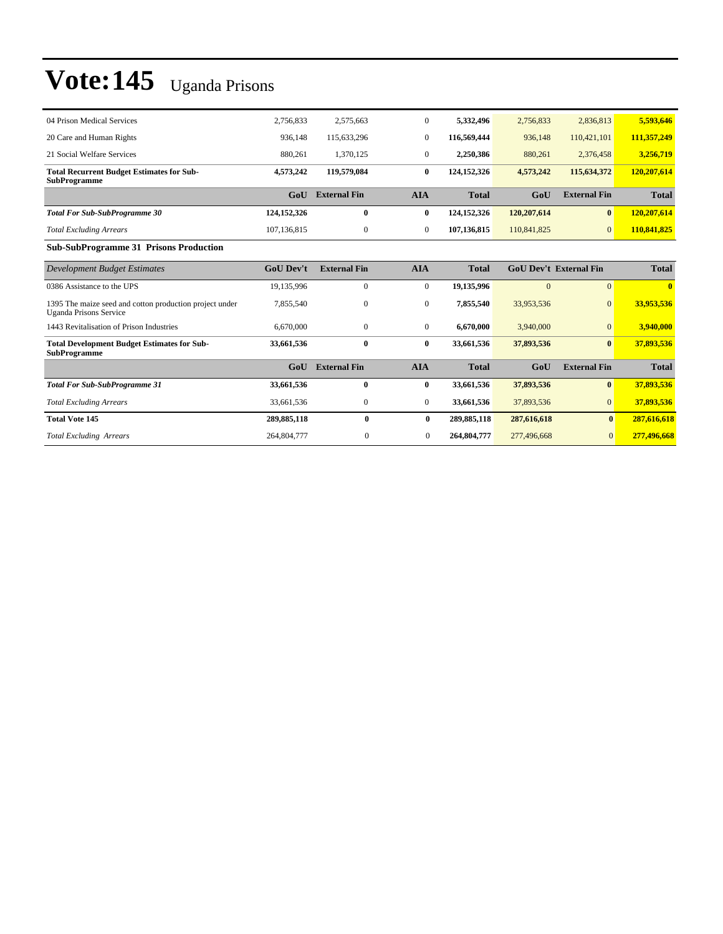| 04 Prison Medical Services                                                               | 2.756.833        | 2.575.663           | $\mathbf{0}$   | 5.332.496    | 2,756,833   | 2,836,813                     | 5,593,646    |
|------------------------------------------------------------------------------------------|------------------|---------------------|----------------|--------------|-------------|-------------------------------|--------------|
| 20 Care and Human Rights                                                                 | 936,148          | 115,633,296         | $\mathbf{0}$   | 116.569.444  | 936,148     | 110,421,101                   | 111,357,249  |
| 21 Social Welfare Services                                                               | 880,261          | 1,370,125           | $\mathbf{0}$   | 2,250,386    | 880,261     | 2,376,458                     | 3,256,719    |
| <b>Total Recurrent Budget Estimates for Sub-</b><br><b>SubProgramme</b>                  | 4,573,242        | 119,579,084         | $\bf{0}$       | 124,152,326  | 4,573,242   | 115,634,372                   | 120,207,614  |
|                                                                                          | GoU              | <b>External Fin</b> | <b>AIA</b>     | <b>Total</b> | GoU         | <b>External Fin</b>           | <b>Total</b> |
| <b>Total For Sub-SubProgramme 30</b>                                                     | 124,152,326      | $\bf{0}$            | $\bf{0}$       | 124,152,326  | 120,207,614 | $\mathbf{0}$                  | 120,207,614  |
| <b>Total Excluding Arrears</b>                                                           | 107,136,815      | $\mathbf{0}$        | $\mathbf{0}$   | 107,136,815  | 110,841,825 | $\mathbf{0}$                  | 110,841,825  |
| <b>Sub-SubProgramme 31 Prisons Production</b>                                            |                  |                     |                |              |             |                               |              |
| <b>Development Budget Estimates</b>                                                      | <b>GoU Dev't</b> | <b>External Fin</b> | <b>AIA</b>     | <b>Total</b> |             | <b>GoU Dev't External Fin</b> | <b>Total</b> |
| 0386 Assistance to the UPS                                                               | 19,135,996       | $\overline{0}$      | $\overline{0}$ | 19,135,996   | $\Omega$    | $\Omega$                      | $\mathbf{0}$ |
| 1395 The maize seed and cotton production project under<br><b>Uganda Prisons Service</b> | 7,855,540        | $\mathbf{0}$        | $\mathbf{0}$   | 7,855,540    | 33,953,536  | $\Omega$                      | 33,953,536   |
| 1443 Revitalisation of Prison Industries                                                 | 6,670,000        | $\overline{0}$      | $\overline{0}$ | 6,670,000    | 3,940,000   | $\Omega$                      | 3,940,000    |
| <b>Total Development Budget Estimates for Sub-</b><br><b>SubProgramme</b>                | 33,661,536       | $\bf{0}$            | $\bf{0}$       | 33,661,536   | 37,893,536  | $\bf{0}$                      | 37,893,536   |
|                                                                                          | GoU              | <b>External Fin</b> | <b>AIA</b>     | <b>Total</b> | GoU         | <b>External Fin</b>           | <b>Total</b> |
| <b>Total For Sub-SubProgramme 31</b>                                                     | 33,661,536       | $\bf{0}$            | $\bf{0}$       | 33,661,536   | 37,893,536  | $\vert 0 \vert$               | 37,893,536   |
| <b>Total Excluding Arrears</b>                                                           | 33,661,536       | $\overline{0}$      | $\mathbf{0}$   | 33,661,536   | 37,893,536  | $\mathbf{0}$                  | 37,893,536   |
| <b>Total Vote 145</b>                                                                    | 289,885,118      | $\mathbf{0}$        | $\bf{0}$       | 289,885,118  | 287,616,618 | $\mathbf{0}$                  | 287,616,618  |
| <b>Total Excluding Arrears</b>                                                           | 264,804,777      | 0                   | $\mathbf{0}$   | 264,804,777  | 277,496,668 | $\mathbf{0}$                  | 277,496,668  |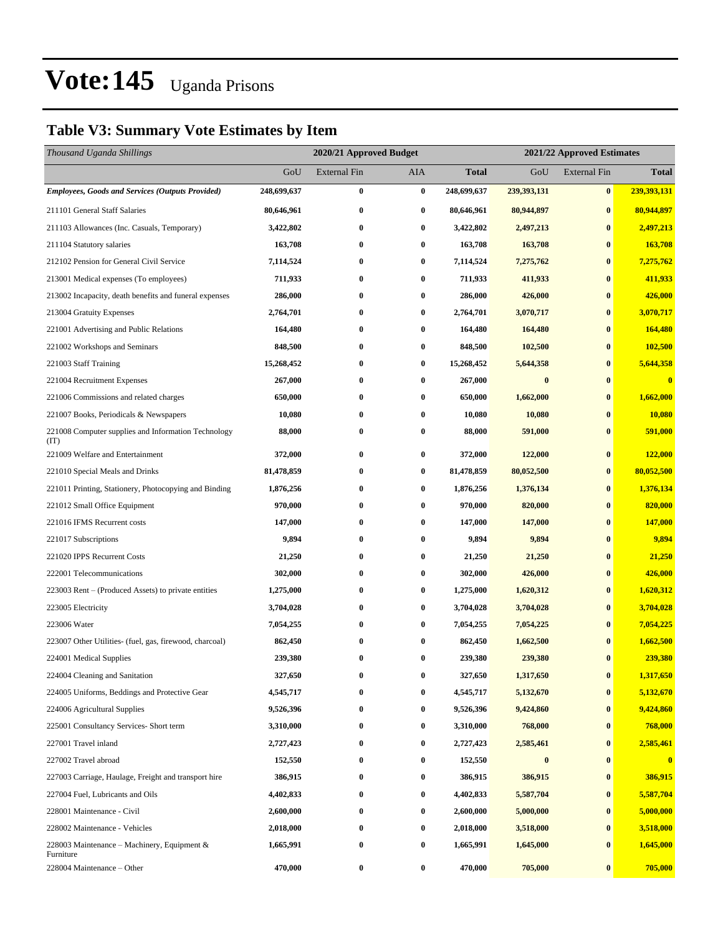### **Table V3: Summary Vote Estimates by Item**

| Thousand Uganda Shillings                                   |             | 2020/21 Approved Budget |                  |              | 2021/22 Approved Estimates |                     |              |  |
|-------------------------------------------------------------|-------------|-------------------------|------------------|--------------|----------------------------|---------------------|--------------|--|
|                                                             | GoU         | <b>External Fin</b>     | AIA              | <b>Total</b> | GoU                        | <b>External Fin</b> | <b>Total</b> |  |
| Employees, Goods and Services (Outputs Provided)            | 248,699,637 | $\bf{0}$                | $\bf{0}$         | 248,699,637  | 239,393,131                | $\bf{0}$            | 239,393,131  |  |
| 211101 General Staff Salaries                               | 80,646,961  | $\bf{0}$                | $\bf{0}$         | 80,646,961   | 80,944,897                 | $\bf{0}$            | 80,944,897   |  |
| 211103 Allowances (Inc. Casuals, Temporary)                 | 3,422,802   | $\bf{0}$                | 0                | 3,422,802    | 2,497,213                  | $\bf{0}$            | 2,497,213    |  |
| 211104 Statutory salaries                                   | 163,708     | $\bf{0}$                | $\bf{0}$         | 163,708      | 163,708                    | $\bf{0}$            | 163,708      |  |
| 212102 Pension for General Civil Service                    | 7,114,524   | $\bf{0}$                | 0                | 7,114,524    | 7,275,762                  | $\bf{0}$            | 7,275,762    |  |
| 213001 Medical expenses (To employees)                      | 711,933     | $\bf{0}$                | $\bf{0}$         | 711,933      | 411,933                    | $\bf{0}$            | 411,933      |  |
| 213002 Incapacity, death benefits and funeral expenses      | 286,000     | $\bf{0}$                | 0                | 286,000      | 426,000                    | $\bf{0}$            | 426,000      |  |
| 213004 Gratuity Expenses                                    | 2,764,701   | $\bf{0}$                | $\bf{0}$         | 2,764,701    | 3,070,717                  | $\bf{0}$            | 3,070,717    |  |
| 221001 Advertising and Public Relations                     | 164,480     | $\bf{0}$                | $\bf{0}$         | 164,480      | 164,480                    | $\bf{0}$            | 164,480      |  |
| 221002 Workshops and Seminars                               | 848,500     | $\bf{0}$                | 0                | 848,500      | 102,500                    | $\bf{0}$            | 102,500      |  |
| 221003 Staff Training                                       | 15,268,452  | $\bf{0}$                | $\bf{0}$         | 15,268,452   | 5,644,358                  | $\bf{0}$            | 5,644,358    |  |
| 221004 Recruitment Expenses                                 | 267,000     | $\bf{0}$                | $\bf{0}$         | 267,000      | $\bf{0}$                   | $\bf{0}$            | $\bf{0}$     |  |
| 221006 Commissions and related charges                      | 650,000     | $\bf{0}$                | $\bf{0}$         | 650,000      | 1,662,000                  | $\bf{0}$            | 1,662,000    |  |
| 221007 Books, Periodicals & Newspapers                      | 10,080      | $\bf{0}$                | 0                | 10,080       | 10,080                     | $\bf{0}$            | 10,080       |  |
| 221008 Computer supplies and Information Technology<br>(TT) | 88,000      | $\bf{0}$                | 0                | 88,000       | 591,000                    | $\bf{0}$            | 591,000      |  |
| 221009 Welfare and Entertainment                            | 372,000     | $\bf{0}$                | 0                | 372,000      | 122,000                    | $\bf{0}$            | 122,000      |  |
| 221010 Special Meals and Drinks                             | 81,478,859  | $\bf{0}$                | $\bf{0}$         | 81,478,859   | 80,052,500                 | $\bf{0}$            | 80,052,500   |  |
| 221011 Printing, Stationery, Photocopying and Binding       | 1,876,256   | $\bf{0}$                | $\bf{0}$         | 1,876,256    | 1,376,134                  | $\bf{0}$            | 1,376,134    |  |
| 221012 Small Office Equipment                               | 970,000     | $\bf{0}$                | $\bf{0}$         | 970,000      | 820,000                    | $\bf{0}$            | 820,000      |  |
| 221016 IFMS Recurrent costs                                 | 147,000     | $\bf{0}$                | 0                | 147,000      | 147,000                    | $\bf{0}$            | 147,000      |  |
| 221017 Subscriptions                                        | 9,894       | $\bf{0}$                | $\bf{0}$         | 9,894        | 9,894                      | $\bf{0}$            | 9,894        |  |
| 221020 IPPS Recurrent Costs                                 | 21,250      | $\bf{0}$                | $\bf{0}$         | 21,250       | 21,250                     | $\bf{0}$            | 21,250       |  |
| 222001 Telecommunications                                   | 302,000     | $\bf{0}$                | $\bf{0}$         | 302,000      | 426,000                    | $\bf{0}$            | 426,000      |  |
| 223003 Rent – (Produced Assets) to private entities         | 1,275,000   | $\bf{0}$                | $\bf{0}$         | 1,275,000    | 1,620,312                  | $\bf{0}$            | 1,620,312    |  |
| 223005 Electricity                                          | 3,704,028   | $\bf{0}$                | $\bf{0}$         | 3,704,028    | 3,704,028                  | $\bf{0}$            | 3,704,028    |  |
| 223006 Water                                                | 7,054,255   | $\bf{0}$                | 0                | 7,054,255    | 7,054,225                  | $\bf{0}$            | 7,054,225    |  |
| 223007 Other Utilities- (fuel, gas, firewood, charcoal)     | 862,450     | $\bf{0}$                | 0                | 862,450      | 1,662,500                  | $\bf{0}$            | 1,662,500    |  |
| 224001 Medical Supplies                                     | 239,380     | $\bf{0}$                | $\bf{0}$         | 239,380      | 239,380                    | $\bf{0}$            | 239,380      |  |
| 224004 Cleaning and Sanitation                              | 327,650     | $\bf{0}$                | $\bf{0}$         | 327,650      | 1,317,650                  | $\bf{0}$            | 1,317,650    |  |
| 224005 Uniforms, Beddings and Protective Gear               | 4,545,717   | $\bf{0}$                | 0                | 4,545,717    | 5,132,670                  | $\bf{0}$            | 5,132,670    |  |
| 224006 Agricultural Supplies                                | 9,526,396   | $\bf{0}$                | $\bf{0}$         | 9,526,396    | 9,424,860                  | $\bf{0}$            | 9,424,860    |  |
| 225001 Consultancy Services- Short term                     | 3,310,000   | $\bf{0}$                | $\bf{0}$         | 3,310,000    | 768,000                    | $\bf{0}$            | 768,000      |  |
| 227001 Travel inland                                        | 2,727,423   | $\bf{0}$                | $\boldsymbol{0}$ | 2,727,423    | 2,585,461                  | $\boldsymbol{0}$    | 2,585,461    |  |
| 227002 Travel abroad                                        | 152,550     | $\bf{0}$                | $\bf{0}$         | 152,550      | $\bf{0}$                   | $\bf{0}$            | $\bf{0}$     |  |
| 227003 Carriage, Haulage, Freight and transport hire        | 386,915     | $\bf{0}$                | 0                | 386,915      | 386,915                    | $\bf{0}$            | 386,915      |  |
| 227004 Fuel, Lubricants and Oils                            | 4,402,833   | $\bf{0}$                | $\bf{0}$         | 4,402,833    | 5,587,704                  | $\bf{0}$            | 5,587,704    |  |
| 228001 Maintenance - Civil                                  | 2,600,000   | $\bf{0}$                | $\bf{0}$         | 2,600,000    | 5,000,000                  | $\bf{0}$            | 5,000,000    |  |
| 228002 Maintenance - Vehicles                               | 2,018,000   | $\bf{0}$                | $\boldsymbol{0}$ | 2,018,000    | 3,518,000                  | $\bf{0}$            | 3,518,000    |  |
| 228003 Maintenance – Machinery, Equipment $\&$<br>Furniture | 1,665,991   | $\bf{0}$                | $\bf{0}$         | 1,665,991    | 1,645,000                  | $\bf{0}$            | 1,645,000    |  |
| 228004 Maintenance - Other                                  | 470,000     | $\bf{0}$                | 0                | 470,000      | 705,000                    | $\bf{0}$            | 705,000      |  |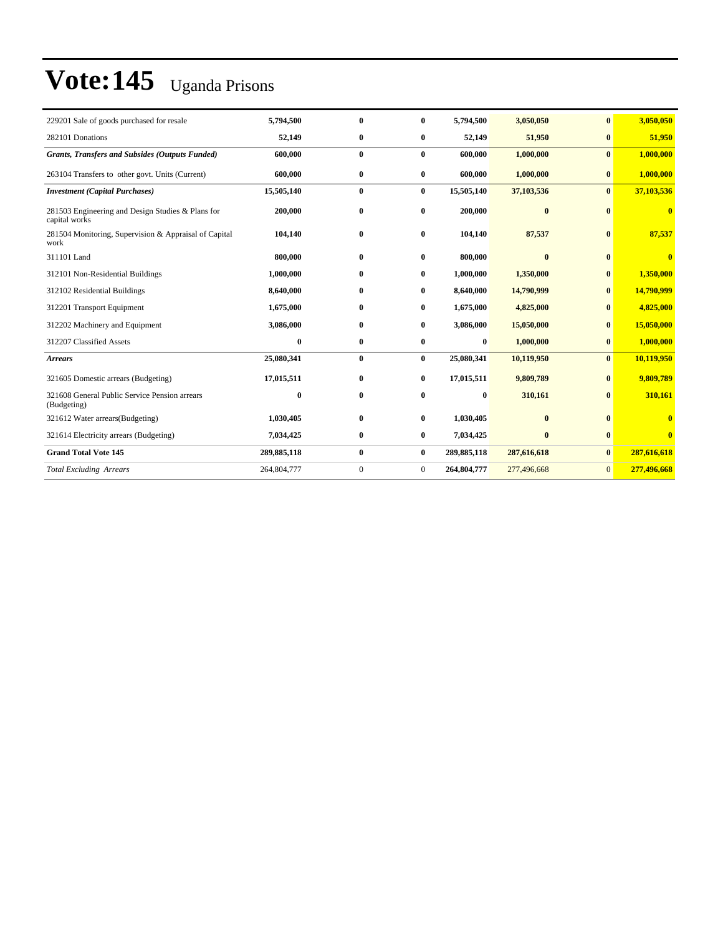| 229201 Sale of goods purchased for resale                          | 5,794,500   | $\mathbf{0}$ | $\bf{0}$       | 5,794,500   | 3,050,050    | $\mathbf{0}$   | 3,050,050               |
|--------------------------------------------------------------------|-------------|--------------|----------------|-------------|--------------|----------------|-------------------------|
| 282101 Donations                                                   | 52,149      | $\bf{0}$     | 0              | 52,149      | 51,950       | $\bf{0}$       | 51,950                  |
| <b>Grants, Transfers and Subsides (Outputs Funded)</b>             | 600,000     | $\bf{0}$     | $\bf{0}$       | 600,000     | 1,000,000    | $\bf{0}$       | 1,000,000               |
| 263104 Transfers to other govt. Units (Current)                    | 600,000     | $\bf{0}$     | $\bf{0}$       | 600,000     | 1,000,000    | $\bf{0}$       | 1,000,000               |
| <b>Investment</b> (Capital Purchases)                              | 15,505,140  | $\bf{0}$     | $\bf{0}$       | 15,505,140  | 37,103,536   | $\bf{0}$       | 37,103,536              |
| 281503 Engineering and Design Studies & Plans for<br>capital works | 200,000     | $\bf{0}$     | $\bf{0}$       | 200,000     | $\bf{0}$     | $\mathbf{0}$   | $\bf{0}$                |
| 281504 Monitoring, Supervision & Appraisal of Capital<br>work      | 104,140     | $\bf{0}$     | $\bf{0}$       | 104,140     | 87,537       | $\mathbf{0}$   | 87,537                  |
| 311101 Land                                                        | 800,000     | $\bf{0}$     | $\bf{0}$       | 800,000     | $\mathbf{0}$ | $\mathbf{0}$   | $\overline{\mathbf{0}}$ |
| 312101 Non-Residential Buildings                                   | 1,000,000   | $\mathbf{0}$ | $\bf{0}$       | 1,000,000   | 1,350,000    | $\mathbf{0}$   | 1,350,000               |
| 312102 Residential Buildings                                       | 8,640,000   | $\bf{0}$     | $\bf{0}$       | 8,640,000   | 14,790,999   | $\bf{0}$       | 14,790,999              |
| 312201 Transport Equipment                                         | 1,675,000   | $\bf{0}$     | 0              | 1,675,000   | 4,825,000    | $\bf{0}$       | 4,825,000               |
| 312202 Machinery and Equipment                                     | 3,086,000   | $\bf{0}$     | 0              | 3,086,000   | 15,050,000   | $\mathbf{0}$   | 15,050,000              |
| 312207 Classified Assets                                           | $\bf{0}$    | $\bf{0}$     | 0              | 0           | 1,000,000    | $\bf{0}$       | 1,000,000               |
| <b>Arrears</b>                                                     | 25,080,341  | $\bf{0}$     | $\bf{0}$       | 25,080,341  | 10,119,950   | $\mathbf{0}$   | 10,119,950              |
| 321605 Domestic arrears (Budgeting)                                | 17,015,511  | $\bf{0}$     | $\bf{0}$       | 17,015,511  | 9,809,789    | $\bf{0}$       | 9,809,789               |
| 321608 General Public Service Pension arrears<br>(Budgeting)       | $\bf{0}$    | $\bf{0}$     | 0              | 0           | 310,161      | $\mathbf{0}$   | 310,161                 |
| 321612 Water arrears (Budgeting)                                   | 1,030,405   | $\bf{0}$     | $\bf{0}$       | 1,030,405   | $\bf{0}$     | $\mathbf{0}$   |                         |
| 321614 Electricity arrears (Budgeting)                             | 7,034,425   | $\bf{0}$     | $\bf{0}$       | 7,034,425   | $\bf{0}$     | $\bf{0}$       | $\bf{0}$                |
| <b>Grand Total Vote 145</b>                                        | 289,885,118 | $\bf{0}$     | $\bf{0}$       | 289,885,118 | 287,616,618  | $\bf{0}$       | 287,616,618             |
| <b>Total Excluding Arrears</b>                                     | 264,804,777 | $\mathbf{0}$ | $\overline{0}$ | 264,804,777 | 277,496,668  | $\overline{0}$ | 277,496,668             |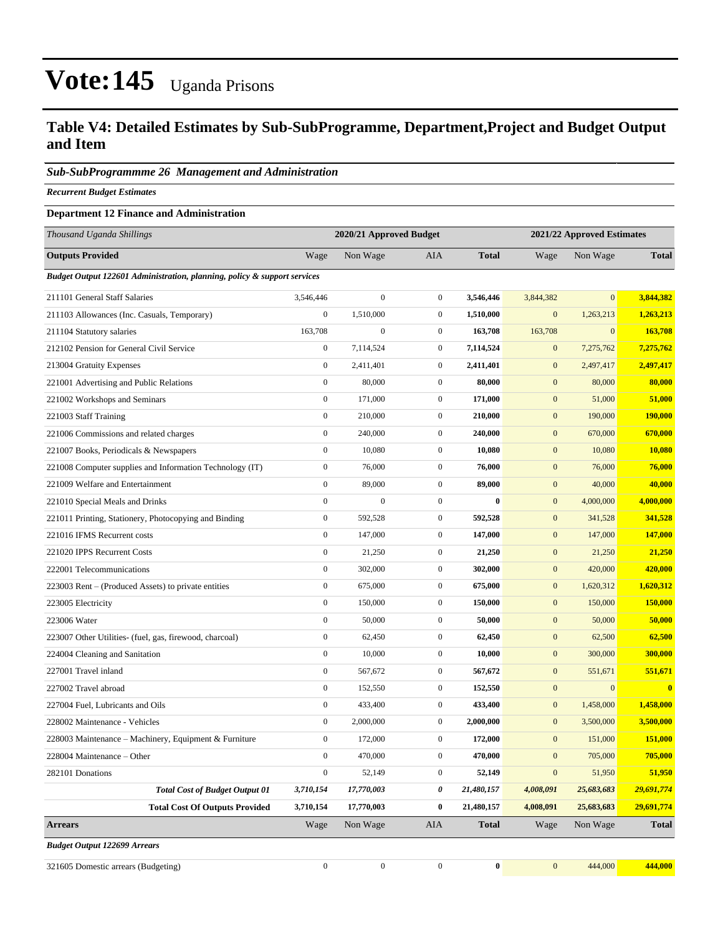### **Table V4: Detailed Estimates by Sub-SubProgramme, Department,Project and Budget Output and Item**

#### *Sub-SubProgrammme 26 Management and Administration*

*Recurrent Budget Estimates*

#### **Department 12 Finance and Administration**

| Thousand Uganda Shillings                                                |                  | 2020/21 Approved Budget |                  |              | 2021/22 Approved Estimates |                |              |
|--------------------------------------------------------------------------|------------------|-------------------------|------------------|--------------|----------------------------|----------------|--------------|
| <b>Outputs Provided</b>                                                  | Wage             | Non Wage                | <b>AIA</b>       | <b>Total</b> | Wage                       | Non Wage       | <b>Total</b> |
| Budget Output 122601 Administration, planning, policy & support services |                  |                         |                  |              |                            |                |              |
| 211101 General Staff Salaries                                            | 3,546,446        | $\boldsymbol{0}$        | $\boldsymbol{0}$ | 3,546,446    | 3,844,382                  | $\overline{0}$ | 3,844,382    |
| 211103 Allowances (Inc. Casuals, Temporary)                              | $\mathbf{0}$     | 1,510,000               | $\boldsymbol{0}$ | 1,510,000    | $\mathbf{0}$               | 1,263,213      | 1,263,213    |
| 211104 Statutory salaries                                                | 163,708          | $\mathbf{0}$            | $\boldsymbol{0}$ | 163,708      | 163,708                    | $\mathbf{0}$   | 163,708      |
| 212102 Pension for General Civil Service                                 | $\boldsymbol{0}$ | 7,114,524               | 0                | 7,114,524    | $\boldsymbol{0}$           | 7,275,762      | 7,275,762    |
| 213004 Gratuity Expenses                                                 | $\mathbf{0}$     | 2,411,401               | $\mathbf{0}$     | 2,411,401    | $\mathbf{0}$               | 2,497,417      | 2,497,417    |
| 221001 Advertising and Public Relations                                  | $\boldsymbol{0}$ | 80,000                  | $\boldsymbol{0}$ | 80,000       | $\mathbf{0}$               | 80,000         | 80,000       |
| 221002 Workshops and Seminars                                            | $\mathbf{0}$     | 171,000                 | $\mathbf{0}$     | 171,000      | $\mathbf{0}$               | 51,000         | 51,000       |
| 221003 Staff Training                                                    | $\boldsymbol{0}$ | 210,000                 | $\boldsymbol{0}$ | 210,000      | $\mathbf{0}$               | 190,000        | 190,000      |
| 221006 Commissions and related charges                                   | $\boldsymbol{0}$ | 240,000                 | $\boldsymbol{0}$ | 240,000      | $\mathbf{0}$               | 670,000        | 670,000      |
| 221007 Books, Periodicals & Newspapers                                   | $\mathbf{0}$     | 10,080                  | $\mathbf{0}$     | 10,080       | $\mathbf{0}$               | 10,080         | 10,080       |
| 221008 Computer supplies and Information Technology (IT)                 | $\boldsymbol{0}$ | 76,000                  | $\boldsymbol{0}$ | 76,000       | $\mathbf{0}$               | 76,000         | 76,000       |
| 221009 Welfare and Entertainment                                         | $\mathbf{0}$     | 89,000                  | $\mathbf{0}$     | 89,000       | $\mathbf{0}$               | 40,000         | 40,000       |
| 221010 Special Meals and Drinks                                          | $\boldsymbol{0}$ | $\mathbf{0}$            | $\boldsymbol{0}$ | $\mathbf{0}$ | $\mathbf{0}$               | 4,000,000      | 4,000,000    |
| 221011 Printing, Stationery, Photocopying and Binding                    | $\boldsymbol{0}$ | 592,528                 | $\boldsymbol{0}$ | 592,528      | $\mathbf{0}$               | 341,528        | 341,528      |
| 221016 IFMS Recurrent costs                                              | $\mathbf{0}$     | 147,000                 | $\mathbf{0}$     | 147,000      | $\mathbf{0}$               | 147,000        | 147,000      |
| 221020 IPPS Recurrent Costs                                              | $\boldsymbol{0}$ | 21,250                  | $\boldsymbol{0}$ | 21,250       | $\mathbf{0}$               | 21,250         | 21,250       |
| 222001 Telecommunications                                                | $\boldsymbol{0}$ | 302,000                 | $\mathbf{0}$     | 302,000      | $\mathbf{0}$               | 420,000        | 420,000      |
| 223003 Rent - (Produced Assets) to private entities                      | $\boldsymbol{0}$ | 675,000                 | $\boldsymbol{0}$ | 675,000      | $\mathbf{0}$               | 1,620,312      | 1,620,312    |
| 223005 Electricity                                                       | $\boldsymbol{0}$ | 150,000                 | $\boldsymbol{0}$ | 150,000      | $\mathbf{0}$               | 150,000        | 150,000      |
| 223006 Water                                                             | $\mathbf{0}$     | 50,000                  | $\mathbf{0}$     | 50,000       | $\mathbf{0}$               | 50,000         | 50,000       |
| 223007 Other Utilities- (fuel, gas, firewood, charcoal)                  | $\boldsymbol{0}$ | 62,450                  | $\boldsymbol{0}$ | 62,450       | $\mathbf{0}$               | 62,500         | 62,500       |
| 224004 Cleaning and Sanitation                                           | $\boldsymbol{0}$ | 10,000                  | $\mathbf{0}$     | 10,000       | $\mathbf{0}$               | 300,000        | 300,000      |
| 227001 Travel inland                                                     | $\boldsymbol{0}$ | 567,672                 | $\boldsymbol{0}$ | 567,672      | $\mathbf{0}$               | 551,671        | 551,671      |
| 227002 Travel abroad                                                     | $\boldsymbol{0}$ | 152,550                 | $\boldsymbol{0}$ | 152,550      | $\boldsymbol{0}$           | $\mathbf{0}$   | $\bf{0}$     |
| 227004 Fuel, Lubricants and Oils                                         | $\boldsymbol{0}$ | 433,400                 | $\boldsymbol{0}$ | 433,400      | $\mathbf{0}$               | 1,458,000      | 1,458,000    |
| 228002 Maintenance - Vehicles                                            | $\boldsymbol{0}$ | 2,000,000               | $\boldsymbol{0}$ | 2,000,000    | $\mathbf{0}$               | 3,500,000      | 3,500,000    |
| 228003 Maintenance – Machinery, Equipment & Furniture                    | $\boldsymbol{0}$ | 172,000                 | $\mathbf{0}$     | 172,000      | $\mathbf{0}$               | 151,000        | 151,000      |
| 228004 Maintenance – Other                                               | $\boldsymbol{0}$ | 470,000                 | $\boldsymbol{0}$ | 470,000      | $\boldsymbol{0}$           | 705,000        | 705,000      |
| 282101 Donations                                                         | $\boldsymbol{0}$ | 52,149                  | $\boldsymbol{0}$ | 52,149       | $\boldsymbol{0}$           | 51,950         | 51,950       |
| <b>Total Cost of Budget Output 01</b>                                    | 3,710,154        | 17,770,003              | 0                | 21,480,157   | 4,008,091                  | 25,683,683     | 29,691,774   |
| <b>Total Cost Of Outputs Provided</b>                                    | 3,710,154        | 17,770,003              | 0                | 21,480,157   | 4,008,091                  | 25,683,683     | 29,691,774   |
| <b>Arrears</b>                                                           | Wage             | Non Wage                | AIA              | <b>Total</b> | Wage                       | Non Wage       | <b>Total</b> |
| <b>Budget Output 122699 Arrears</b>                                      |                  |                         |                  |              |                            |                |              |
| 321605 Domestic arrears (Budgeting)                                      | $\boldsymbol{0}$ | $\boldsymbol{0}$        | $\boldsymbol{0}$ | $\bf{0}$     | $\mathbf{0}$               | 444,000        | 444,000      |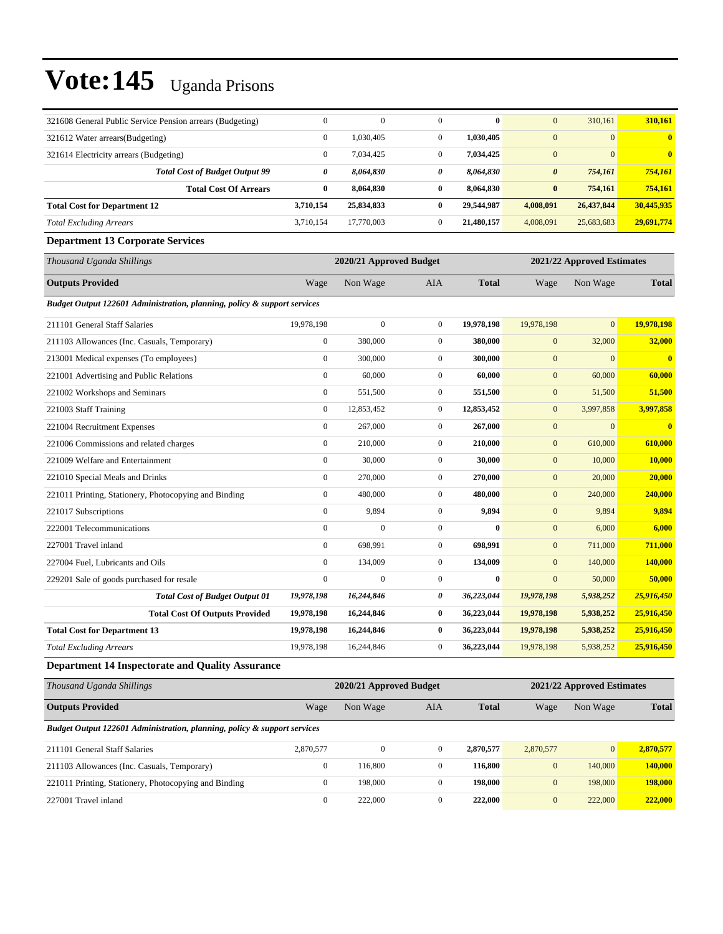| 321608 General Public Service Pension arrears (Budgeting)                | $\Omega$              | $\theta$                | $\Omega$         | $\bf{0}$     | $\mathbf{0}$          | 310,161                    | 310,161                 |  |  |  |
|--------------------------------------------------------------------------|-----------------------|-------------------------|------------------|--------------|-----------------------|----------------------------|-------------------------|--|--|--|
| 321612 Water arrears(Budgeting)                                          | $\mathbf{0}$          | 1,030,405               | $\overline{0}$   | 1,030,405    | $\mathbf{0}$          | $\mathbf{0}$               | $\overline{\mathbf{0}}$ |  |  |  |
| 321614 Electricity arrears (Budgeting)                                   | $\mathbf{0}$          | 7,034,425               | $\boldsymbol{0}$ | 7,034,425    | $\mathbf{0}$          | $\mathbf{0}$               | $\overline{\mathbf{0}}$ |  |  |  |
| <b>Total Cost of Budget Output 99</b>                                    | $\boldsymbol{\theta}$ | 8,064,830               | $\theta$         | 8,064,830    | $\boldsymbol{\theta}$ | 754,161                    | 754,161                 |  |  |  |
| <b>Total Cost Of Arrears</b>                                             | $\bf{0}$              | 8,064,830               | $\bf{0}$         | 8,064,830    | $\bf{0}$              | 754,161                    | 754,161                 |  |  |  |
| <b>Total Cost for Department 12</b>                                      | 3,710,154             | 25,834,833              | $\bf{0}$         | 29,544,987   | 4,008,091             | 26,437,844                 | 30,445,935              |  |  |  |
| <b>Total Excluding Arrears</b>                                           | 3,710,154             | 17,770,003              | $\overline{0}$   | 21,480,157   | 4,008,091             | 25,683,683                 | 29,691,774              |  |  |  |
| <b>Department 13 Corporate Services</b>                                  |                       |                         |                  |              |                       |                            |                         |  |  |  |
| Thousand Uganda Shillings                                                |                       | 2020/21 Approved Budget |                  |              |                       | 2021/22 Approved Estimates |                         |  |  |  |
| <b>Outputs Provided</b>                                                  | Wage                  | Non Wage                | AIA              | <b>Total</b> | Wage                  | Non Wage                   | <b>Total</b>            |  |  |  |
| Budget Output 122601 Administration, planning, policy & support services |                       |                         |                  |              |                       |                            |                         |  |  |  |
| 211101 General Staff Salaries                                            | 19,978,198            | $\mathbf{0}$            | $\mathbf{0}$     | 19,978,198   | 19,978,198            | $\overline{0}$             | 19,978,198              |  |  |  |
| 211103 Allowances (Inc. Casuals, Temporary)                              | $\boldsymbol{0}$      | 380,000                 | $\overline{0}$   | 380,000      | $\mathbf{0}$          | 32,000                     | 32,000                  |  |  |  |
| 213001 Medical expenses (To employees)                                   | $\mathbf{0}$          | 300,000                 | $\overline{0}$   | 300,000      | $\mathbf{0}$          | $\mathbf{0}$               | $\overline{\mathbf{0}}$ |  |  |  |
| 221001 Advertising and Public Relations                                  | $\mathbf{0}$          | 60,000                  | $\overline{0}$   | 60,000       | $\mathbf{0}$          | 60,000                     | 60,000                  |  |  |  |
| 221002 Workshops and Seminars                                            | $\boldsymbol{0}$      | 551,500                 | $\overline{0}$   | 551,500      | $\mathbf{0}$          | 51,500                     | 51,500                  |  |  |  |
| 221003 Staff Training                                                    | $\mathbf{0}$          | 12,853,452              | $\overline{0}$   | 12,853,452   | $\mathbf{0}$          | 3,997,858                  | 3,997,858               |  |  |  |
| 221004 Recruitment Expenses                                              | $\boldsymbol{0}$      | 267,000                 | $\mathbf{0}$     | 267,000      | $\mathbf{0}$          | $\mathbf{0}$               | $\bf{0}$                |  |  |  |
| 221006 Commissions and related charges                                   | $\boldsymbol{0}$      | 210,000                 | $\overline{0}$   | 210,000      | $\boldsymbol{0}$      | 610,000                    | 610,000                 |  |  |  |
| 221009 Welfare and Entertainment                                         | $\mathbf{0}$          | 30,000                  | $\overline{0}$   | 30,000       | $\mathbf{0}$          | 10,000                     | 10,000                  |  |  |  |
| 221010 Special Meals and Drinks                                          | $\boldsymbol{0}$      | 270,000                 | $\overline{0}$   | 270,000      | $\mathbf{0}$          | 20,000                     | 20,000                  |  |  |  |
| 221011 Printing, Stationery, Photocopying and Binding                    | $\mathbf{0}$          | 480,000                 | $\boldsymbol{0}$ | 480,000      | $\mathbf{0}$          | 240,000                    | 240,000                 |  |  |  |
| 221017 Subscriptions                                                     | $\mathbf{0}$          | 9,894                   | $\overline{0}$   | 9,894        | $\mathbf{0}$          | 9,894                      | 9,894                   |  |  |  |
| 222001 Telecommunications                                                | $\boldsymbol{0}$      | $\overline{0}$          | $\overline{0}$   | $\bf{0}$     | $\mathbf{0}$          | 6,000                      | 6,000                   |  |  |  |
| 227001 Travel inland                                                     | $\mathbf{0}$          | 698,991                 | $\overline{0}$   | 698,991      | $\mathbf{0}$          | 711,000                    | 711,000                 |  |  |  |
| 227004 Fuel, Lubricants and Oils                                         | $\mathbf{0}$          | 134,009                 | $\overline{0}$   | 134,009      | $\mathbf{0}$          | 140,000                    | 140,000                 |  |  |  |
| 229201 Sale of goods purchased for resale                                | $\boldsymbol{0}$      | $\boldsymbol{0}$        | $\overline{0}$   | $\bf{0}$     | $\mathbf{0}$          | 50,000                     | 50,000                  |  |  |  |
| <b>Total Cost of Budget Output 01</b>                                    | 19,978,198            | 16,244,846              | 0                | 36,223,044   | 19,978,198            | 5,938,252                  | 25,916,450              |  |  |  |
| <b>Total Cost Of Outputs Provided</b>                                    | 19,978,198            | 16,244,846              | $\bf{0}$         | 36,223,044   | 19,978,198            | 5,938,252                  | 25,916,450              |  |  |  |
| <b>Total Cost for Department 13</b>                                      | 19,978,198            | 16,244,846              | $\bf{0}$         | 36,223,044   | 19,978,198            | 5,938,252                  | 25,916,450              |  |  |  |
| <b>Total Excluding Arrears</b>                                           | 19,978,198            | 16,244,846              | $\overline{0}$   | 36,223,044   | 19,978,198            | 5,938,252                  | 25,916,450              |  |  |  |
| <b>Department 14 Inspectorate and Quality Assurance</b>                  |                       |                         |                  |              |                       |                            |                         |  |  |  |

| Thousand Uganda Shillings                                                | 2020/21 Approved Budget |          |              |              | 2021/22 Approved Estimates |                 |              |  |
|--------------------------------------------------------------------------|-------------------------|----------|--------------|--------------|----------------------------|-----------------|--------------|--|
| <b>Outputs Provided</b>                                                  | Wage                    | Non Wage | <b>AIA</b>   | <b>Total</b> | Wage                       | Non Wage        | <b>Total</b> |  |
| Budget Output 122601 Administration, planning, policy & support services |                         |          |              |              |                            |                 |              |  |
| 211101 General Staff Salaries                                            | 2,870,577               | $\Omega$ | $\mathbf{0}$ | 2,870,577    | 2,870,577                  | $\vert 0 \vert$ | 2.870.577    |  |
| 211103 Allowances (Inc. Casuals, Temporary)                              | $\mathbf{0}$            | 116,800  | $\mathbf{0}$ | 116,800      | $\mathbf{0}$               | 140,000         | 140,000      |  |
| 221011 Printing, Stationery, Photocopying and Binding                    | $\mathbf{0}$            | 198,000  | $\mathbf{0}$ | 198,000      | $\mathbf{0}$               | 198,000         | 198,000      |  |
| 227001 Travel inland                                                     | $\mathbf{0}$            | 222,000  | $\Omega$     | 222,000      | $\mathbf{0}$               | 222,000         | 222,000      |  |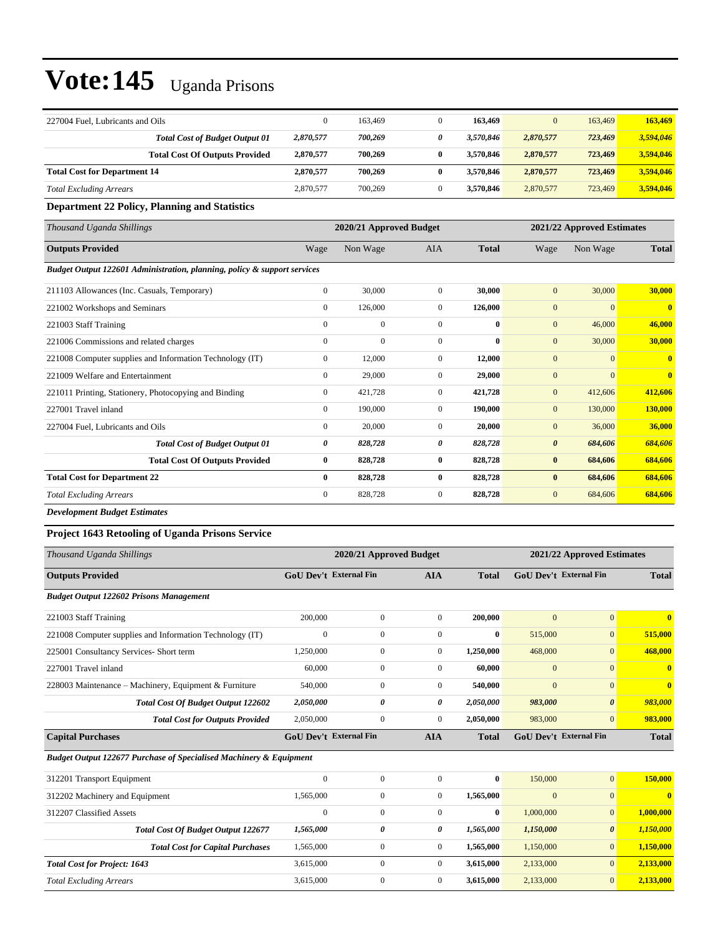| 227004 Fuel, Lubricants and Oils    |                                       |           | 163.469 | 163.469   | $\overline{0}$ | 163,469 | 163.469   |
|-------------------------------------|---------------------------------------|-----------|---------|-----------|----------------|---------|-----------|
|                                     | <b>Total Cost of Budget Output 01</b> | 2,870,577 | 700,269 | 3.570.846 | 2,870,577      | 723,469 | 3,594,046 |
|                                     | <b>Total Cost Of Outputs Provided</b> | 2,870,577 | 700.269 | 3.570.846 | 2,870,577      | 723,469 | 3,594,046 |
| <b>Total Cost for Department 14</b> |                                       | 2,870,577 | 700.269 | 3.570.846 | 2,870,577      | 723,469 | 3,594,046 |
| <b>Total Excluding Arrears</b>      |                                       | 2,870,577 | 700,269 | 3.570.846 | 2,870,577      | 723,469 | 3.594,046 |

#### **Department 22 Policy, Planning and Statistics**

| Thousand Uganda Shillings                                                |                  | 2020/21 Approved Budget |                |              | 2021/22 Approved Estimates |                |                         |
|--------------------------------------------------------------------------|------------------|-------------------------|----------------|--------------|----------------------------|----------------|-------------------------|
| <b>Outputs Provided</b>                                                  | Wage             | Non Wage                | <b>AIA</b>     | <b>Total</b> | Wage                       | Non Wage       | <b>Total</b>            |
| Budget Output 122601 Administration, planning, policy & support services |                  |                         |                |              |                            |                |                         |
| 211103 Allowances (Inc. Casuals, Temporary)                              | $\mathbf{0}$     | 30,000                  | $\overline{0}$ | 30,000       | $\mathbf{0}$               | 30,000         | <b>30,000</b>           |
| 221002 Workshops and Seminars                                            | $\mathbf{0}$     | 126,000                 | $\overline{0}$ | 126,000      | $\mathbf{0}$               | $\Omega$       | $\bf{0}$                |
| 221003 Staff Training                                                    | $\Omega$         | $\mathbf{0}$            | $\Omega$       | $\mathbf{0}$ | $\mathbf{0}$               | 46,000         | 46,000                  |
| 221006 Commissions and related charges                                   | $\mathbf{0}$     | $\mathbf{0}$            | $\Omega$       | $\mathbf{0}$ | $\mathbf{0}$               | 30,000         | 30,000                  |
| 221008 Computer supplies and Information Technology (IT)                 | $\boldsymbol{0}$ | 12,000                  | $\overline{0}$ | 12,000       | $\boldsymbol{0}$           | $\overline{0}$ | $\bf{0}$                |
| 221009 Welfare and Entertainment                                         | $\mathbf{0}$     | 29,000                  | $\overline{0}$ | 29,000       | $\mathbf{0}$               | $\Omega$       | $\overline{\mathbf{0}}$ |
| 221011 Printing, Stationery, Photocopying and Binding                    | $\mathbf{0}$     | 421,728                 | 0              | 421,728      | $\mathbf{0}$               | 412,606        | 412,606                 |
| 227001 Travel inland                                                     | $\mathbf{0}$     | 190,000                 | $\overline{0}$ | 190,000      | $\mathbf{0}$               | 130,000        | <b>130,000</b>          |
| 227004 Fuel, Lubricants and Oils                                         | $\mathbf{0}$     | 20,000                  | $\overline{0}$ | 20,000       | $\mathbf{0}$               | 36,000         | 36,000                  |
| <b>Total Cost of Budget Output 01</b>                                    | 0                | 828,728                 | 0              | 828,728      | $\boldsymbol{\theta}$      | 684,606        | 684,606                 |
| <b>Total Cost Of Outputs Provided</b>                                    | $\bf{0}$         | 828,728                 | $\bf{0}$       | 828,728      | $\bf{0}$                   | 684,606        | 684,606                 |
| <b>Total Cost for Department 22</b>                                      | $\bf{0}$         | 828,728                 | $\bf{0}$       | 828,728      | $\bf{0}$                   | 684,606        | 684,606                 |
| <b>Total Excluding Arrears</b>                                           | $\mathbf{0}$     | 828,728                 | $\overline{0}$ | 828,728      | $\mathbf{0}$               | 684,606        | 684,606                 |
| <b>Development Budget Estimates</b>                                      |                  |                         |                |              |                            |                |                         |

#### **Project 1643 Retooling of Uganda Prisons Service**

| Thousand Uganda Shillings                                                     |              | 2020/21 Approved Budget<br>2021/22 Approved Estimates |                |              |              |                               |                         |
|-------------------------------------------------------------------------------|--------------|-------------------------------------------------------|----------------|--------------|--------------|-------------------------------|-------------------------|
| <b>Outputs Provided</b>                                                       |              | <b>GoU Dev't External Fin</b>                         | <b>AIA</b>     | <b>Total</b> |              | <b>GoU Dev't External Fin</b> | <b>Total</b>            |
| <b>Budget Output 122602 Prisons Management</b>                                |              |                                                       |                |              |              |                               |                         |
| 221003 Staff Training                                                         | 200,000      | $\mathbf{0}$                                          | $\mathbf{0}$   | 200,000      | $\mathbf{0}$ | $\overline{0}$                | $\overline{\mathbf{0}}$ |
| 221008 Computer supplies and Information Technology (IT)                      | $\mathbf{0}$ | $\mathbf{0}$                                          | $\mathbf{0}$   | $\bf{0}$     | 515,000      | $\overline{0}$                | 515,000                 |
| 225001 Consultancy Services- Short term                                       | 1,250,000    | $\mathbf{0}$                                          | $\overline{0}$ | 1,250,000    | 468,000      | $\mathbf{0}$                  | 468,000                 |
| 227001 Travel inland                                                          | 60,000       | $\overline{0}$                                        | $\mathbf{0}$   | 60,000       | $\mathbf{0}$ | $\overline{0}$                | $\bf{0}$                |
| 228003 Maintenance – Machinery, Equipment & Furniture                         | 540,000      | $\overline{0}$                                        | $\mathbf{0}$   | 540,000      | $\mathbf{0}$ | $\overline{0}$                | $\overline{\mathbf{0}}$ |
| <b>Total Cost Of Budget Output 122602</b>                                     | 2,050,000    | 0                                                     | 0              | 2,050,000    | 983,000      | $\boldsymbol{\theta}$         | 983,000                 |
| <b>Total Cost for Outputs Provided</b>                                        | 2,050,000    | $\mathbf{0}$                                          | $\overline{0}$ | 2,050,000    | 983,000      | $\overline{0}$                | 983,000                 |
| <b>Capital Purchases</b>                                                      |              | <b>GoU Dev't External Fin</b>                         | <b>AIA</b>     | <b>Total</b> |              | <b>GoU Dev't External Fin</b> | <b>Total</b>            |
| <b>Budget Output 122677 Purchase of Specialised Machinery &amp; Equipment</b> |              |                                                       |                |              |              |                               |                         |
| 312201 Transport Equipment                                                    | $\mathbf{0}$ | $\mathbf{0}$                                          | $\mathbf{0}$   | $\bf{0}$     | 150,000      | $\overline{0}$                | 150,000                 |
| 312202 Machinery and Equipment                                                | 1,565,000    | $\overline{0}$                                        | $\overline{0}$ | 1,565,000    | $\mathbf{0}$ | $\overline{0}$                | $\overline{\mathbf{0}}$ |
| 312207 Classified Assets                                                      | $\mathbf{0}$ | $\mathbf{0}$                                          | $\mathbf{0}$   | $\bf{0}$     | 1,000,000    | $\overline{0}$                | 1,000,000               |
| <b>Total Cost Of Budget Output 122677</b>                                     | 1,565,000    | 0                                                     | 0              | 1,565,000    | 1,150,000    | $\boldsymbol{\theta}$         | 1,150,000               |
| <b>Total Cost for Capital Purchases</b>                                       | 1,565,000    | $\overline{0}$                                        | $\overline{0}$ | 1,565,000    | 1,150,000    | $\overline{0}$                | 1,150,000               |
| <b>Total Cost for Project: 1643</b>                                           | 3,615,000    | $\overline{0}$                                        | $\mathbf{0}$   | 3,615,000    | 2,133,000    | $\overline{0}$                | 2,133,000               |
| <b>Total Excluding Arrears</b>                                                | 3,615,000    | $\Omega$                                              | $\mathbf{0}$   | 3,615,000    | 2,133,000    | $\overline{0}$                | 2,133,000               |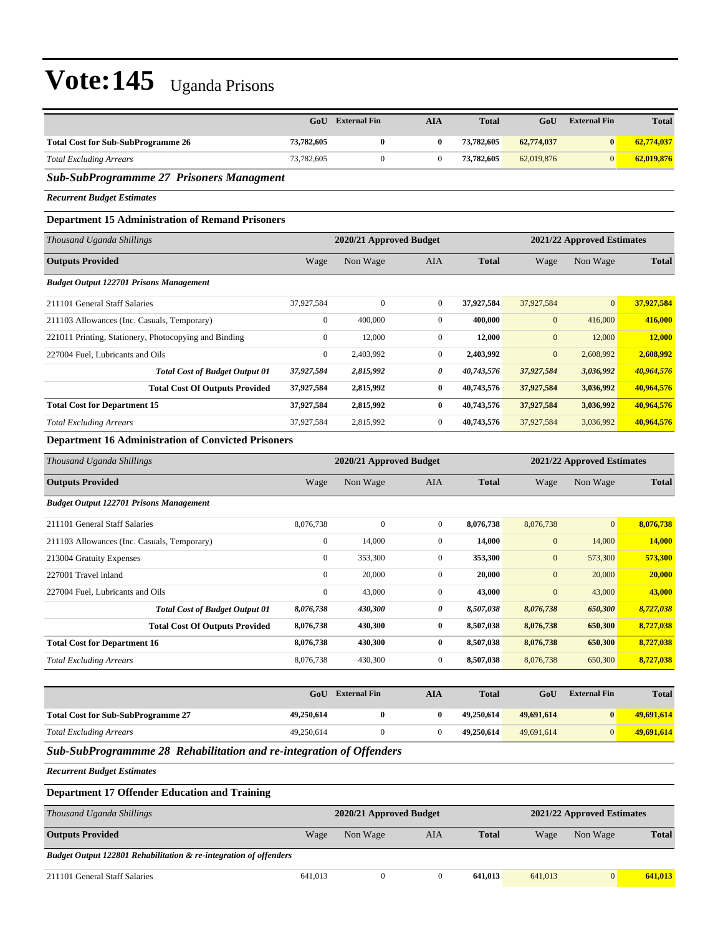|                                                                     | GoU                                                   | <b>External Fin</b>     | <b>AIA</b>       | <b>Total</b> | GoU          | <b>External Fin</b>        | <b>Total</b>  |  |
|---------------------------------------------------------------------|-------------------------------------------------------|-------------------------|------------------|--------------|--------------|----------------------------|---------------|--|
| <b>Total Cost for Sub-SubProgramme 26</b>                           | 73,782,605                                            | $\bf{0}$                | 0                | 73,782,605   | 62,774,037   | $\bf{0}$                   | 62,774,037    |  |
| <b>Total Excluding Arrears</b>                                      | 73,782,605                                            | $\boldsymbol{0}$        | $\boldsymbol{0}$ | 73,782,605   | 62,019,876   | $\mathbf{0}$               | 62,019,876    |  |
| Sub-SubProgrammme 27 Prisoners Managment                            |                                                       |                         |                  |              |              |                            |               |  |
| <b>Recurrent Budget Estimates</b>                                   |                                                       |                         |                  |              |              |                            |               |  |
| <b>Department 15 Administration of Remand Prisoners</b>             |                                                       |                         |                  |              |              |                            |               |  |
| Thousand Uganda Shillings                                           |                                                       | 2020/21 Approved Budget |                  |              |              | 2021/22 Approved Estimates |               |  |
| <b>Outputs Provided</b>                                             | Wage                                                  | Non Wage                | AIA              | <b>Total</b> | Wage         | Non Wage                   | <b>Total</b>  |  |
| <b>Budget Output 122701 Prisons Management</b>                      |                                                       |                         |                  |              |              |                            |               |  |
| 211101 General Staff Salaries                                       | 37,927,584                                            | $\boldsymbol{0}$        | $\mathbf{0}$     | 37,927,584   | 37,927,584   | $\mathbf{0}$               | 37,927,584    |  |
| 211103 Allowances (Inc. Casuals, Temporary)                         | $\boldsymbol{0}$                                      | 400,000                 | $\overline{0}$   | 400,000      | $\mathbf{0}$ | 416,000                    | 416,000       |  |
| 221011 Printing, Stationery, Photocopying and Binding               | $\boldsymbol{0}$                                      | 12,000                  | $\mathbf{0}$     | 12,000       | $\mathbf{0}$ | 12,000                     | 12,000        |  |
| 227004 Fuel, Lubricants and Oils                                    | $\boldsymbol{0}$                                      | 2,403,992               | $\mathbf{0}$     | 2,403,992    | $\mathbf{0}$ | 2,608,992                  | 2,608,992     |  |
| <b>Total Cost of Budget Output 01</b>                               | 37,927,584                                            | 2,815,992               | 0                | 40,743,576   | 37,927,584   | 3,036,992                  | 40,964,576    |  |
| <b>Total Cost Of Outputs Provided</b>                               | 37,927,584                                            | 2,815,992               | $\bf{0}$         | 40,743,576   | 37,927,584   | 3,036,992                  | 40,964,576    |  |
| <b>Total Cost for Department 15</b>                                 | 37,927,584                                            | 2,815,992               | 0                | 40,743,576   | 37,927,584   | 3,036,992                  | 40,964,576    |  |
| <b>Total Excluding Arrears</b>                                      | 37,927,584                                            | 2,815,992               | $\boldsymbol{0}$ | 40,743,576   | 37,927,584   | 3,036,992                  | 40,964,576    |  |
| <b>Department 16 Administration of Convicted Prisoners</b>          |                                                       |                         |                  |              |              |                            |               |  |
| Thousand Uganda Shillings                                           | 2020/21 Approved Budget<br>2021/22 Approved Estimates |                         |                  |              |              |                            |               |  |
| <b>Outputs Provided</b>                                             | Wage                                                  | Non Wage                | AIA              | <b>Total</b> | Wage         | Non Wage                   | <b>Total</b>  |  |
| <b>Budget Output 122701 Prisons Management</b>                      |                                                       |                         |                  |              |              |                            |               |  |
| 211101 General Staff Salaries                                       | 8,076,738                                             | $\boldsymbol{0}$        | $\boldsymbol{0}$ | 8,076,738    | 8,076,738    | $\mathbf{0}$               | 8,076,738     |  |
| 211103 Allowances (Inc. Casuals, Temporary)                         | $\boldsymbol{0}$                                      | 14,000                  | $\boldsymbol{0}$ | 14,000       | $\mathbf{0}$ | 14,000                     | <b>14,000</b> |  |
| 213004 Gratuity Expenses                                            | $\boldsymbol{0}$                                      | 353,300                 | $\boldsymbol{0}$ | 353,300      | $\mathbf{0}$ | 573,300                    | 573,300       |  |
| 227001 Travel inland                                                | $\boldsymbol{0}$                                      | 20,000                  | $\boldsymbol{0}$ | 20,000       | $\mathbf{0}$ | 20,000                     | 20,000        |  |
| 227004 Fuel, Lubricants and Oils                                    | $\boldsymbol{0}$                                      | 43,000                  | $\boldsymbol{0}$ | 43,000       | $\mathbf{0}$ | 43,000                     | 43,000        |  |
| <b>Total Cost of Budget Output 01</b>                               | 8,076,738                                             | 430,300                 | 0                | 8,507,038    | 8,076,738    | 650,300                    | 8,727,038     |  |
| <b>Total Cost Of Outputs Provided</b>                               | 8,076,738                                             | 430,300                 | 0                | 8,507,038    | 8,076,738    | 650,300                    | 8,727,038     |  |
| <b>Total Cost for Department 16</b>                                 | 8,076,738                                             | 430,300                 | $\bf{0}$         | 8,507,038    | 8,076,738    | 650,300                    | 8,727,038     |  |
| <b>Total Excluding Arrears</b>                                      | 8,076,738                                             | 430,300                 | $\boldsymbol{0}$ | 8,507,038    | 8,076,738    | 650,300                    | 8,727,038     |  |
|                                                                     | GoU                                                   | <b>External Fin</b>     | <b>AIA</b>       | <b>Total</b> | GoU          | <b>External Fin</b>        | <b>Total</b>  |  |
| <b>Total Cost for Sub-SubProgramme 27</b>                           | 49,250,614                                            | $\bf{0}$                | 0                | 49,250,614   | 49,691,614   | $\bf{0}$                   | 49,691,614    |  |
| <b>Total Excluding Arrears</b>                                      | 49,250,614                                            | 0                       | $\boldsymbol{0}$ | 49,250,614   | 49,691,614   | $\mathbf{0}$               | 49,691,614    |  |
| Sub-SubProgrammme 28 Rehabilitation and re-integration of Offenders |                                                       |                         |                  |              |              |                            |               |  |
| <b>Recurrent Budget Estimates</b>                                   |                                                       |                         |                  |              |              |                            |               |  |
|                                                                     |                                                       |                         |                  |              |              |                            |               |  |
| <b>Department 17 Offender Education and Training</b>                |                                                       |                         |                  |              |              |                            |               |  |
| Thousand Uganda Shillings                                           |                                                       | 2020/21 Approved Budget |                  |              |              | 2021/22 Approved Estimates |               |  |
| <b>Outputs Provided</b>                                             | Wage                                                  | Non Wage                | AIA              | <b>Total</b> | Wage         | Non Wage                   | <b>Total</b>  |  |
| Budget Output 122801 Rehabilitation & re-integration of offenders   |                                                       |                         |                  |              |              |                            |               |  |
| 211101 General Staff Salaries                                       | 641,013                                               | $\boldsymbol{0}$        | $\boldsymbol{0}$ | 641,013      | 641,013      | 0                          | 641,013       |  |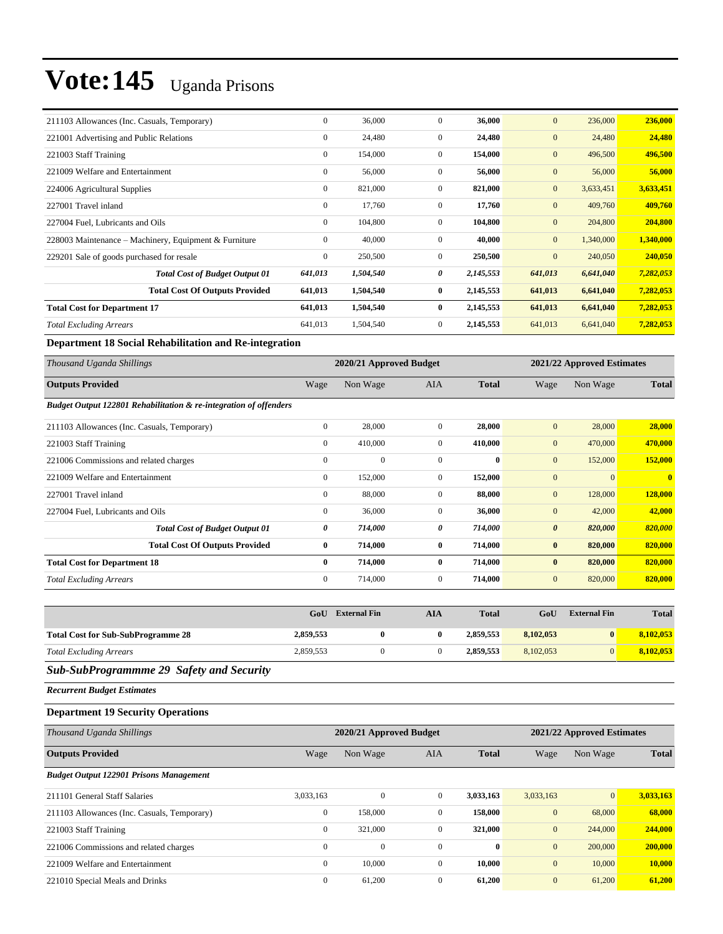| 211103 Allowances (Inc. Casuals, Temporary)           | $\mathbf{0}$   | 36,000    | $\overline{0}$ | 36,000    | $\mathbf{0}$   | 236,000   | 236,000   |
|-------------------------------------------------------|----------------|-----------|----------------|-----------|----------------|-----------|-----------|
| 221001 Advertising and Public Relations               | $\mathbf{0}$   | 24,480    | $\overline{0}$ | 24,480    | $\mathbf{0}$   | 24,480    | 24,480    |
| 221003 Staff Training                                 | $\overline{0}$ | 154,000   | $\mathbf{0}$   | 154,000   | $\mathbf{0}$   | 496,500   | 496,500   |
| 221009 Welfare and Entertainment                      | $\mathbf{0}$   | 56,000    | $\overline{0}$ | 56,000    | $\mathbf{0}$   | 56,000    | 56,000    |
| 224006 Agricultural Supplies                          | $\overline{0}$ | 821,000   | $\overline{0}$ | 821,000   | $\mathbf{0}$   | 3,633,451 | 3,633,451 |
| 227001 Travel inland                                  | $\mathbf{0}$   | 17,760    | $\mathbf{0}$   | 17,760    | $\mathbf{0}$   | 409,760   | 409,760   |
| 227004 Fuel, Lubricants and Oils                      | $\mathbf{0}$   | 104,800   | $\overline{0}$ | 104,800   | $\mathbf{0}$   | 204,800   | 204,800   |
| 228003 Maintenance – Machinery, Equipment & Furniture | $\mathbf{0}$   | 40,000    | $\mathbf{0}$   | 40,000    | $\mathbf{0}$   | 1,340,000 | 1,340,000 |
| 229201 Sale of goods purchased for resale             | $\mathbf{0}$   | 250,500   | $\overline{0}$ | 250,500   | $\overline{0}$ | 240,050   | 240,050   |
| <b>Total Cost of Budget Output 01</b>                 | 641,013        | 1,504,540 | 0              | 2,145,553 | 641,013        | 6,641,040 | 7,282,053 |
| <b>Total Cost Of Outputs Provided</b>                 | 641,013        | 1,504,540 | $\bf{0}$       | 2,145,553 | 641,013        | 6,641,040 | 7,282,053 |
| <b>Total Cost for Department 17</b>                   | 641,013        | 1,504,540 | $\bf{0}$       | 2,145,553 | 641,013        | 6,641,040 | 7,282,053 |
| <b>Total Excluding Arrears</b>                        | 641,013        | 1,504,540 | $\overline{0}$ | 2,145,553 | 641,013        | 6,641,040 | 7,282,053 |

**Department 18 Social Rehabilitation and Re-integration**

| Thousand Uganda Shillings                                         |                  | 2020/21 Approved Budget |                |              |                       | 2021/22 Approved Estimates |                |  |
|-------------------------------------------------------------------|------------------|-------------------------|----------------|--------------|-----------------------|----------------------------|----------------|--|
| <b>Outputs Provided</b>                                           | Wage             | Non Wage                | <b>AIA</b>     | <b>Total</b> | Wage                  | Non Wage                   | <b>Total</b>   |  |
| Budget Output 122801 Rehabilitation & re-integration of offenders |                  |                         |                |              |                       |                            |                |  |
| 211103 Allowances (Inc. Casuals, Temporary)                       | $\mathbf{0}$     | 28,000                  | $\mathbf{0}$   | 28,000       | $\mathbf{0}$          | 28,000                     | 28,000         |  |
| 221003 Staff Training                                             | $\boldsymbol{0}$ | 410,000                 | $\overline{0}$ | 410,000      | $\mathbf{0}$          | 470,000                    | 470,000        |  |
| 221006 Commissions and related charges                            | $\mathbf{0}$     | $\mathbf{0}$            | $\mathbf{0}$   | $\bf{0}$     | $\mathbf{0}$          | 152,000                    | 152,000        |  |
| 221009 Welfare and Entertainment                                  | $\mathbf{0}$     | 152,000                 | $\overline{0}$ | 152,000      | $\mathbf{0}$          | $\theta$                   | $\overline{0}$ |  |
| 227001 Travel inland                                              | $\boldsymbol{0}$ | 88,000                  | $\overline{0}$ | 88,000       | $\mathbf{0}$          | 128,000                    | 128,000        |  |
| 227004 Fuel, Lubricants and Oils                                  | $\mathbf{0}$     | 36,000                  | $\mathbf{0}$   | 36,000       | $\mathbf{0}$          | 42,000                     | 42,000         |  |
| <b>Total Cost of Budget Output 01</b>                             | 0                | 714,000                 | 0              | 714,000      | $\boldsymbol{\theta}$ | 820,000                    | 820,000        |  |
| <b>Total Cost Of Outputs Provided</b>                             | $\bf{0}$         | 714,000                 | $\bf{0}$       | 714,000      | $\bf{0}$              | 820,000                    | 820,000        |  |
| <b>Total Cost for Department 18</b>                               | $\bf{0}$         | 714,000                 | $\bf{0}$       | 714,000      | $\bf{0}$              | 820,000                    | 820,000        |  |
| <b>Total Excluding Arrears</b>                                    | $\mathbf{0}$     | 714,000                 | $\overline{0}$ | 714,000      | $\mathbf{0}$          | 820,000                    | 820,000        |  |

|                                           | GoU       | <b>External Fin</b> | AIA | <b>Total</b> | GoU       | <b>External Fin</b> | <b>Total</b> |
|-------------------------------------------|-----------|---------------------|-----|--------------|-----------|---------------------|--------------|
| <b>Total Cost for Sub-SubProgramme 28</b> | 2,859,553 |                     |     | 2,859,553    | 8,102,053 | $\mathbf{0}$        | 8.102.053    |
| <b>Total Excluding Arrears</b>            | 2,859,553 |                     |     | 2,859,553    | 8.102.053 | $\Omega$            | 8.102.053    |

### *Sub-SubProgrammme 29 Safety and Security*

*Recurrent Budget Estimates*

#### **Department 19 Security Operations**

| Thousand Uganda Shillings                      |              | 2020/21 Approved Budget | 2021/22 Approved Estimates |              |              |                 |              |
|------------------------------------------------|--------------|-------------------------|----------------------------|--------------|--------------|-----------------|--------------|
| <b>Outputs Provided</b>                        | Wage         | Non Wage                | <b>AIA</b>                 | <b>Total</b> | Wage         | Non Wage        | <b>Total</b> |
| <b>Budget Output 122901 Prisons Management</b> |              |                         |                            |              |              |                 |              |
| 211101 General Staff Salaries                  | 3,033,163    | $\mathbf{0}$            | $\overline{0}$             | 3,033,163    | 3,033,163    | $\vert 0 \vert$ | 3,033,163    |
| 211103 Allowances (Inc. Casuals, Temporary)    | $\mathbf{0}$ | 158,000                 | $\mathbf{0}$               | 158,000      | $\mathbf{0}$ | 68,000          | 68,000       |
| 221003 Staff Training                          | $\mathbf{0}$ | 321,000                 | $\mathbf{0}$               | 321,000      | $\mathbf{0}$ | 244,000         | 244,000      |
| 221006 Commissions and related charges         | $\mathbf{0}$ | $\mathbf{0}$            | $\overline{0}$             | $\bf{0}$     | $\mathbf{0}$ | 200,000         | 200,000      |
| 221009 Welfare and Entertainment               | $\mathbf{0}$ | 10,000                  | $\mathbf{0}$               | 10,000       | $\mathbf{0}$ | 10,000          | 10,000       |
| 221010 Special Meals and Drinks                | $\mathbf{0}$ | 61,200                  | $\mathbf{0}$               | 61,200       | $\mathbf{0}$ | 61,200          | 61,200       |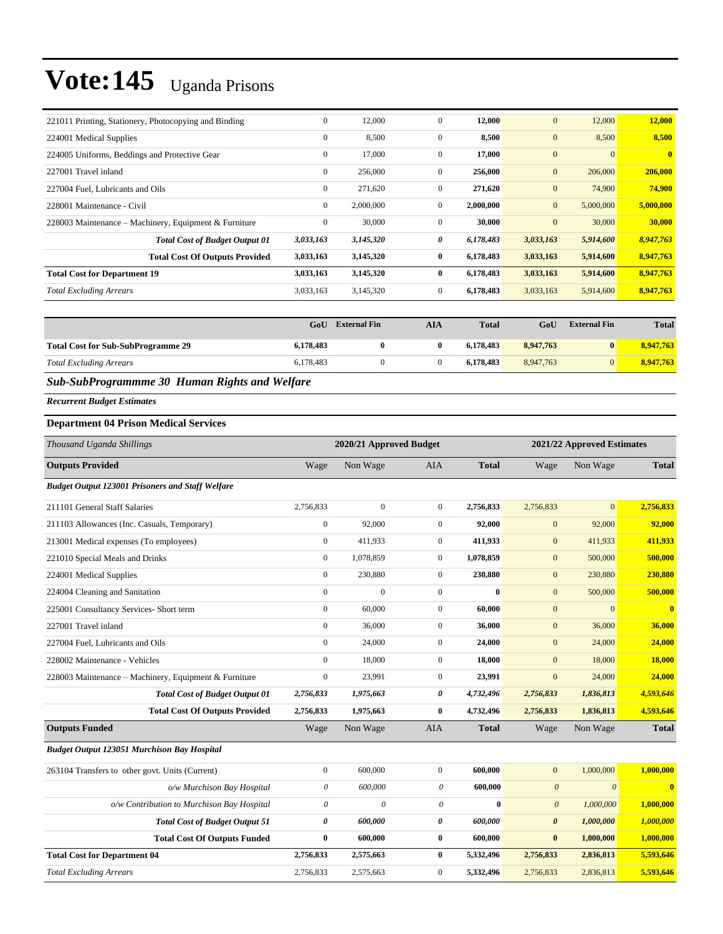| $\mathbf{0}$     | 12,000    | $\overline{0}$ | 12,000    | $\mathbf{0}$ | 12,000       | 12,000       |
|------------------|-----------|----------------|-----------|--------------|--------------|--------------|
| $\mathbf{0}$     | 8,500     | $\mathbf{0}$   | 8,500     | $\mathbf{0}$ | 8,500        | 8,500        |
| $\mathbf{0}$     | 17,000    | $\mathbf{0}$   | 17,000    | $\mathbf{0}$ | $\mathbf{0}$ | $\mathbf{0}$ |
| $\mathbf{0}$     | 256,000   | $\mathbf{0}$   | 256,000   | $\mathbf{0}$ | 206,000      | 206,000      |
| $\mathbf{0}$     | 271,620   | $\mathbf{0}$   | 271,620   | $\mathbf{0}$ | 74,900       | 74,900       |
| $\mathbf{0}$     | 2,000,000 | $\mathbf{0}$   | 2,000,000 | $\mathbf{0}$ | 5,000,000    | 5,000,000    |
| $\boldsymbol{0}$ | 30,000    | $\mathbf{0}$   | 30,000    | $\mathbf{0}$ | 30,000       | 30,000       |
| 3,033,163        | 3,145,320 | 0              | 6,178,483 | 3,033,163    | 5,914,600    | 8,947,763    |
| 3,033,163        | 3,145,320 | $\bf{0}$       | 6,178,483 | 3,033,163    | 5,914,600    | 8,947,763    |
| 3,033,163        | 3,145,320 | $\bf{0}$       | 6,178,483 | 3,033,163    | 5,914,600    | 8,947,763    |
| 3,033,163        | 3,145,320 | $\mathbf{0}$   | 6,178,483 | 3,033,163    | 5,914,600    | 8,947,763    |
|                  |           |                |           |              |              |              |

|                                           | GoU       | <b>External Fin</b> | AIA | <b>Total</b> | GoU       | <b>External Fin</b> | <b>Total</b> |
|-------------------------------------------|-----------|---------------------|-----|--------------|-----------|---------------------|--------------|
| <b>Total Cost for Sub-SubProgramme 29</b> | 6,178,483 |                     |     | 6.178.483    | 8.947.763 | $\mathbf{0}$        | 8,947,763    |
| <b>Total Excluding Arrears</b>            | 6,178,483 |                     |     | 6.178.483    | 8.947.763 | $\Omega$            | 8,947,763    |

### *Sub-SubProgrammme 30 Human Rights and Welfare*

*Recurrent Budget Estimates*

### **Department 04 Prison Medical Services**

| Thousand Uganda Shillings                               |                       | 2020/21 Approved Budget |                  |              |                       | 2021/22 Approved Estimates |                         |
|---------------------------------------------------------|-----------------------|-------------------------|------------------|--------------|-----------------------|----------------------------|-------------------------|
| <b>Outputs Provided</b>                                 | Wage                  | Non Wage                | <b>AIA</b>       | <b>Total</b> | Wage                  | Non Wage                   | <b>Total</b>            |
| <b>Budget Output 123001 Prisoners and Staff Welfare</b> |                       |                         |                  |              |                       |                            |                         |
| 211101 General Staff Salaries                           | 2,756,833             | $\mathbf{0}$            | $\mathbf{0}$     | 2,756,833    | 2,756,833             | $\overline{0}$             | 2,756,833               |
| 211103 Allowances (Inc. Casuals, Temporary)             | $\boldsymbol{0}$      | 92,000                  | $\mathbf{0}$     | 92,000       | $\mathbf{0}$          | 92,000                     | 92,000                  |
| 213001 Medical expenses (To employees)                  | $\mathbf{0}$          | 411,933                 | $\mathbf{0}$     | 411,933      | $\mathbf{0}$          | 411,933                    | 411,933                 |
| 221010 Special Meals and Drinks                         | $\mathbf{0}$          | 1,078,859               | $\boldsymbol{0}$ | 1,078,859    | $\mathbf{0}$          | 500,000                    | 500,000                 |
| 224001 Medical Supplies                                 | $\mathbf{0}$          | 230,880                 | $\mathbf{0}$     | 230,880      | $\mathbf{0}$          | 230,880                    | 230,880                 |
| 224004 Cleaning and Sanitation                          | $\boldsymbol{0}$      | $\mathbf{0}$            | $\boldsymbol{0}$ | $\bf{0}$     | $\mathbf{0}$          | 500,000                    | 500,000                 |
| 225001 Consultancy Services- Short term                 | $\overline{0}$        | 60,000                  | $\mathbf{0}$     | 60.000       | $\mathbf{0}$          | $\Omega$                   | $\overline{\mathbf{0}}$ |
| 227001 Travel inland                                    | $\overline{0}$        | 36,000                  | $\mathbf{0}$     | 36,000       | $\mathbf{0}$          | 36,000                     | 36,000                  |
| 227004 Fuel, Lubricants and Oils                        | $\mathbf{0}$          | 24,000                  | $\boldsymbol{0}$ | 24,000       | $\mathbf{0}$          | 24,000                     | 24,000                  |
| 228002 Maintenance - Vehicles                           | $\mathbf{0}$          | 18,000                  | $\mathbf{0}$     | 18,000       | $\overline{0}$        | 18,000                     | 18,000                  |
| 228003 Maintenance - Machinery, Equipment & Furniture   | $\mathbf{0}$          | 23,991                  | $\boldsymbol{0}$ | 23,991       | $\mathbf{0}$          | 24,000                     | 24,000                  |
| <b>Total Cost of Budget Output 01</b>                   | 2,756,833             | 1,975,663               | 0                | 4,732,496    | 2,756,833             | 1,836,813                  | 4,593,646               |
| <b>Total Cost Of Outputs Provided</b>                   | 2,756,833             | 1,975,663               | $\bf{0}$         | 4,732,496    | 2,756,833             | 1,836,813                  | 4,593,646               |
| <b>Outputs Funded</b>                                   | Wage                  | Non Wage                | <b>AIA</b>       | <b>Total</b> | Wage                  | Non Wage                   | <b>Total</b>            |
| <b>Budget Output 123051 Murchison Bay Hospital</b>      |                       |                         |                  |              |                       |                            |                         |
| 263104 Transfers to other govt. Units (Current)         | $\mathbf{0}$          | 600,000                 | $\mathbf{0}$     | 600,000      | $\overline{0}$        | 1,000,000                  | 1,000,000               |
| o/w Murchison Bay Hospital                              | 0                     | 600,000                 | 0                | 600,000      | $\boldsymbol{\theta}$ | $\theta$                   | $\overline{\mathbf{0}}$ |
| o/w Contribution to Murchison Bay Hospital              | $\theta$              | $\theta$                | $\theta$         | $\mathbf{0}$ | $\boldsymbol{\theta}$ | 1,000,000                  | 1,000,000               |
| <b>Total Cost of Budget Output 51</b>                   | $\boldsymbol{\theta}$ | 600,000                 | 0                | 600,000      | $\boldsymbol{\theta}$ | 1,000,000                  | 1,000,000               |
| <b>Total Cost Of Outputs Funded</b>                     | $\bf{0}$              | 600,000                 | $\bf{0}$         | 600,000      | $\bf{0}$              | 1,000,000                  | 1,000,000               |
| <b>Total Cost for Department 04</b>                     | 2,756,833             | 2,575,663               | $\bf{0}$         | 5,332,496    | 2,756,833             | 2,836,813                  | 5,593,646               |
| <b>Total Excluding Arrears</b>                          | 2,756,833             | 2,575,663               | $\mathbf{0}$     | 5,332,496    | 2,756,833             | 2,836,813                  | 5,593,646               |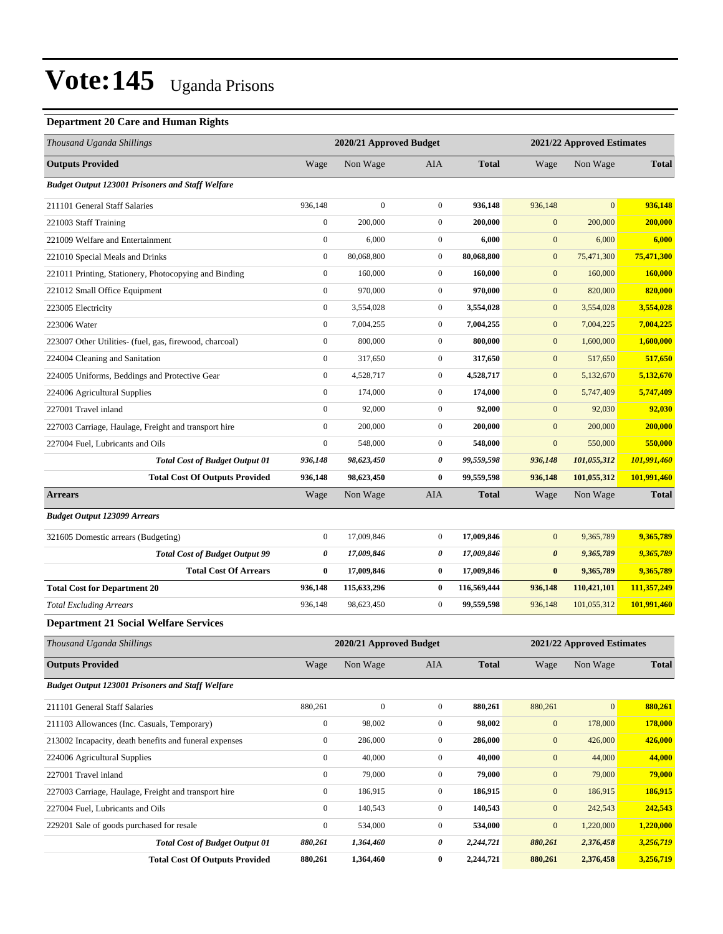#### **Department 20 Care and Human Rights**

| Thousand Uganda Shillings                               |                  | 2020/21 Approved Budget |                  |              |                       | 2021/22 Approved Estimates |              |
|---------------------------------------------------------|------------------|-------------------------|------------------|--------------|-----------------------|----------------------------|--------------|
| <b>Outputs Provided</b>                                 | Wage             | Non Wage                | AIA              | <b>Total</b> | Wage                  | Non Wage                   | <b>Total</b> |
| <b>Budget Output 123001 Prisoners and Staff Welfare</b> |                  |                         |                  |              |                       |                            |              |
| 211101 General Staff Salaries                           | 936,148          | $\mathbf{0}$            | $\boldsymbol{0}$ | 936,148      | 936,148               | $\mathbf{0}$               | 936,148      |
| 221003 Staff Training                                   | $\boldsymbol{0}$ | 200,000                 | $\boldsymbol{0}$ | 200,000      | $\mathbf{0}$          | 200,000                    | 200,000      |
| 221009 Welfare and Entertainment                        | $\boldsymbol{0}$ | 6,000                   | $\boldsymbol{0}$ | 6,000        | $\mathbf{0}$          | 6,000                      | 6,000        |
| 221010 Special Meals and Drinks                         | $\boldsymbol{0}$ | 80,068,800              | $\mathbf{0}$     | 80,068,800   | $\mathbf{0}$          | 75,471,300                 | 75,471,300   |
| 221011 Printing, Stationery, Photocopying and Binding   | $\boldsymbol{0}$ | 160,000                 | $\mathbf{0}$     | 160,000      | $\mathbf{0}$          | 160,000                    | 160,000      |
| 221012 Small Office Equipment                           | $\boldsymbol{0}$ | 970,000                 | $\mathbf{0}$     | 970.000      | $\mathbf{0}$          | 820,000                    | 820,000      |
| 223005 Electricity                                      | $\boldsymbol{0}$ | 3,554,028               | $\mathbf{0}$     | 3,554,028    | $\mathbf{0}$          | 3,554,028                  | 3,554,028    |
| 223006 Water                                            | $\boldsymbol{0}$ | 7,004,255               | $\boldsymbol{0}$ | 7,004,255    | $\mathbf{0}$          | 7,004,225                  | 7,004,225    |
| 223007 Other Utilities- (fuel, gas, firewood, charcoal) | $\boldsymbol{0}$ | 800,000                 | $\mathbf{0}$     | 800,000      | $\mathbf{0}$          | 1,600,000                  | 1,600,000    |
| 224004 Cleaning and Sanitation                          | $\boldsymbol{0}$ | 317,650                 | $\mathbf{0}$     | 317,650      | $\mathbf{0}$          | 517,650                    | 517,650      |
| 224005 Uniforms, Beddings and Protective Gear           | $\boldsymbol{0}$ | 4,528,717               | $\boldsymbol{0}$ | 4,528,717    | $\mathbf{0}$          | 5,132,670                  | 5,132,670    |
| 224006 Agricultural Supplies                            | $\boldsymbol{0}$ | 174,000                 | $\boldsymbol{0}$ | 174,000      | $\mathbf{0}$          | 5,747,409                  | 5,747,409    |
| 227001 Travel inland                                    | $\boldsymbol{0}$ | 92,000                  | $\boldsymbol{0}$ | 92,000       | $\mathbf{0}$          | 92,030                     | 92,030       |
| 227003 Carriage, Haulage, Freight and transport hire    | $\boldsymbol{0}$ | 200,000                 | $\mathbf{0}$     | 200,000      | $\mathbf{0}$          | 200,000                    | 200,000      |
| 227004 Fuel, Lubricants and Oils                        | $\boldsymbol{0}$ | 548,000                 | $\mathbf{0}$     | 548,000      | $\mathbf{0}$          | 550,000                    | 550,000      |
| <b>Total Cost of Budget Output 01</b>                   | 936,148          | 98,623,450              | 0                | 99,559,598   | 936,148               | 101,055,312                | 101,991,460  |
| <b>Total Cost Of Outputs Provided</b>                   | 936,148          | 98,623,450              | 0                | 99,559,598   | 936,148               | 101,055,312                | 101,991,460  |
| <b>Arrears</b>                                          | Wage             | Non Wage                | AIA              | <b>Total</b> | Wage                  | Non Wage                   | <b>Total</b> |
| <b>Budget Output 123099 Arrears</b>                     |                  |                         |                  |              |                       |                            |              |
| 321605 Domestic arrears (Budgeting)                     | $\boldsymbol{0}$ | 17,009,846              | $\mathbf{0}$     | 17,009,846   | $\mathbf{0}$          | 9,365,789                  | 9,365,789    |
| <b>Total Cost of Budget Output 99</b>                   | 0                | 17,009,846              | 0                | 17,009,846   | $\boldsymbol{\theta}$ | 9,365,789                  | 9,365,789    |
| <b>Total Cost Of Arrears</b>                            | $\bf{0}$         | 17,009,846              | $\bf{0}$         | 17,009,846   | $\bf{0}$              | 9,365,789                  | 9,365,789    |
| <b>Total Cost for Department 20</b>                     | 936,148          | 115,633,296             | $\bf{0}$         | 116,569,444  | 936,148               | 110,421,101                | 111,357,249  |
| <b>Total Excluding Arrears</b>                          | 936,148          | 98,623,450              | $\mathbf{0}$     | 99,559,598   | 936,148               | 101,055,312                | 101,991,460  |
| <b>Department 21 Social Welfare Services</b>            |                  |                         |                  |              |                       |                            |              |
| Thousand Uganda Shillings                               |                  | 2020/21 Approved Budget |                  |              |                       | 2021/22 Approved Estimates |              |
| <b>Outputs Provided</b>                                 | Wage             | Non Wage                | AIA              | <b>Total</b> | Wage                  | Non Wage                   | <b>Total</b> |
| <b>Budget Output 123001 Prisoners and Staff Welfare</b> |                  |                         |                  |              |                       |                            |              |
| 211101 General Staff Salaries                           | 880,261          | $\boldsymbol{0}$        | $\boldsymbol{0}$ | 880,261      | 880,261               | $\mathbf{0}$               | 880,261      |
| 211103 Allowances (Inc. Casuals, Temporary)             | $\boldsymbol{0}$ | 98,002                  | $\boldsymbol{0}$ | 98,002       | $\boldsymbol{0}$      | 178,000                    | 178,000      |
| 213002 Incapacity, death benefits and funeral expenses  | $\boldsymbol{0}$ | 286,000                 | $\boldsymbol{0}$ | 286,000      | $\mathbf{0}$          | 426,000                    | 426,000      |
| 224006 Agricultural Supplies                            | $\boldsymbol{0}$ | 40,000                  | $\boldsymbol{0}$ | 40,000       | $\boldsymbol{0}$      | 44,000                     | 44,000       |
| 227001 Travel inland                                    | $\boldsymbol{0}$ | 79,000                  | $\boldsymbol{0}$ | 79,000       | $\boldsymbol{0}$      | 79,000                     | 79,000       |
| 227003 Carriage, Haulage, Freight and transport hire    | $\boldsymbol{0}$ | 186,915                 | $\boldsymbol{0}$ | 186,915      | $\boldsymbol{0}$      | 186,915                    | 186,915      |
| 227004 Fuel, Lubricants and Oils                        | $\boldsymbol{0}$ | 140,543                 | $\boldsymbol{0}$ | 140,543      | $\boldsymbol{0}$      | 242,543                    | 242,543      |
| 229201 Sale of goods purchased for resale               | $\boldsymbol{0}$ | 534,000                 | $\boldsymbol{0}$ | 534,000      | $\mathbf{0}$          | 1,220,000                  | 1,220,000    |
| <b>Total Cost of Budget Output 01</b>                   | 880,261          | 1,364,460               | 0                | 2,244,721    | 880,261               | 2,376,458                  | 3,256,719    |
| <b>Total Cost Of Outputs Provided</b>                   | 880,261          | 1,364,460               | $\bf{0}$         | 2,244,721    | 880,261               | 2,376,458                  | 3,256,719    |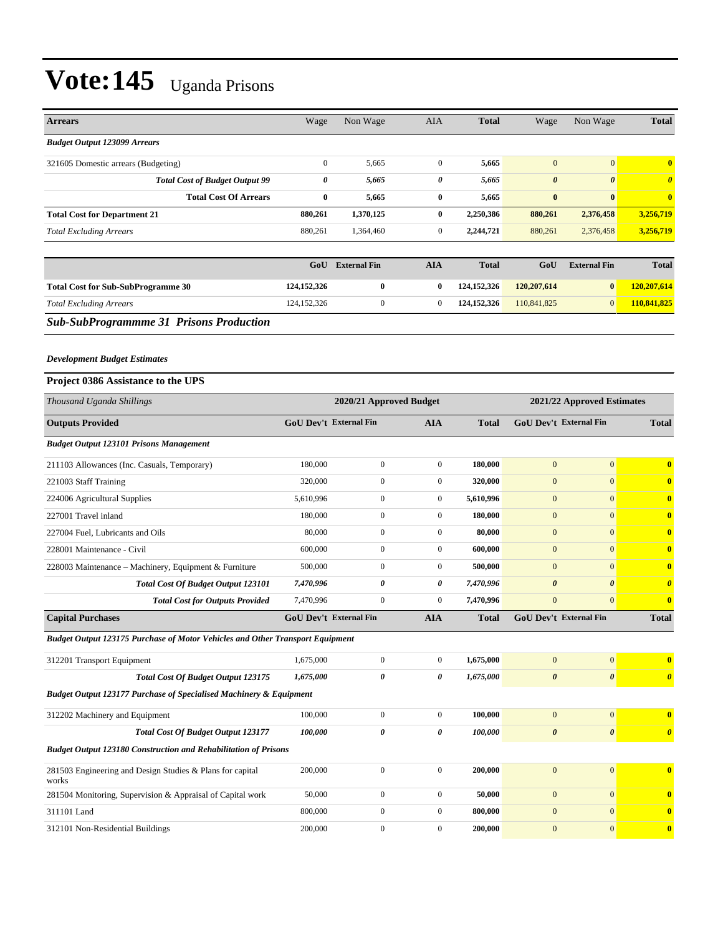| <b>Arrears</b>                                                                | Wage                  | Non Wage                      | AIA              | <b>Total</b>  | Wage                          | Non Wage                   | Total                   |
|-------------------------------------------------------------------------------|-----------------------|-------------------------------|------------------|---------------|-------------------------------|----------------------------|-------------------------|
| <b>Budget Output 123099 Arrears</b>                                           |                       |                               |                  |               |                               |                            |                         |
| 321605 Domestic arrears (Budgeting)                                           | $\boldsymbol{0}$      | 5,665                         | $\mathbf{0}$     | 5,665         | $\mathbf{0}$                  | $\overline{0}$             | $\bf{0}$                |
| <b>Total Cost of Budget Output 99</b>                                         | $\boldsymbol{\theta}$ | 5,665                         | 0                | 5,665         | $\boldsymbol{\theta}$         | $\boldsymbol{\theta}$      | $\boldsymbol{\theta}$   |
| <b>Total Cost Of Arrears</b>                                                  | $\bf{0}$              | 5,665                         | $\bf{0}$         | 5,665         | $\bf{0}$                      | $\bf{0}$                   | $\mathbf{0}$            |
| <b>Total Cost for Department 21</b>                                           | 880,261               | 1,370,125                     | $\bf{0}$         | 2,250,386     | 880,261                       | 2,376,458                  | 3,256,719               |
| <b>Total Excluding Arrears</b>                                                | 880,261               | 1,364,460                     | $\mathbf{0}$     | 2,244,721     | 880,261                       | 2,376,458                  | 3,256,719               |
|                                                                               |                       |                               |                  |               |                               |                            |                         |
|                                                                               | GoU                   | <b>External Fin</b>           | <b>AIA</b>       | <b>Total</b>  | GoU                           | <b>External Fin</b>        | <b>Total</b>            |
| <b>Total Cost for Sub-SubProgramme 30</b>                                     | 124, 152, 326         | $\bf{0}$                      | $\bf{0}$         | 124,152,326   | 120,207,614                   | $\bf{0}$                   | 120,207,614             |
| <b>Total Excluding Arrears</b>                                                | 124, 152, 326         | $\mathbf{0}$                  | $\boldsymbol{0}$ | 124, 152, 326 | 110,841,825                   | $\mathbf{0}$               | 110,841,825             |
| <b>Sub-SubProgrammme 31 Prisons Production</b>                                |                       |                               |                  |               |                               |                            |                         |
|                                                                               |                       |                               |                  |               |                               |                            |                         |
| <b>Development Budget Estimates</b>                                           |                       |                               |                  |               |                               |                            |                         |
| <b>Project 0386 Assistance to the UPS</b>                                     |                       |                               |                  |               |                               |                            |                         |
|                                                                               |                       |                               |                  |               |                               |                            |                         |
| Thousand Uganda Shillings                                                     |                       | 2020/21 Approved Budget       |                  |               |                               | 2021/22 Approved Estimates |                         |
| <b>Outputs Provided</b>                                                       |                       | <b>GoU Dev't External Fin</b> | <b>AIA</b>       | <b>Total</b>  | GoU Dev't External Fin        |                            | <b>Total</b>            |
| <b>Budget Output 123101 Prisons Management</b>                                |                       |                               |                  |               |                               |                            |                         |
| 211103 Allowances (Inc. Casuals, Temporary)                                   | 180,000               | $\boldsymbol{0}$              | $\overline{0}$   | 180,000       | $\mathbf{0}$                  | $\mathbf{0}$               | $\bf{0}$                |
| 221003 Staff Training                                                         | 320,000               | $\boldsymbol{0}$              | $\boldsymbol{0}$ | 320,000       | $\mathbf{0}$                  | $\overline{0}$             | $\mathbf{0}$            |
| 224006 Agricultural Supplies                                                  | 5,610,996             | $\overline{0}$                | $\boldsymbol{0}$ | 5,610,996     | $\mathbf{0}$                  | $\mathbf{0}$               | $\bf{0}$                |
| 227001 Travel inland                                                          | 180,000               | $\boldsymbol{0}$              | $\boldsymbol{0}$ | 180,000       | $\mathbf{0}$                  | $\overline{0}$             | $\bf{0}$                |
| 227004 Fuel, Lubricants and Oils                                              | 80,000                | $\boldsymbol{0}$              | $\boldsymbol{0}$ | 80,000        | $\mathbf{0}$                  | $\mathbf{0}$               | $\bf{0}$                |
| 228001 Maintenance - Civil                                                    | 600,000               | $\mathbf{0}$                  | $\overline{0}$   | 600,000       | $\mathbf{0}$                  | $\mathbf{0}$               | $\bf{0}$                |
| 228003 Maintenance - Machinery, Equipment & Furniture                         | 500,000               | $\boldsymbol{0}$              | $\boldsymbol{0}$ | 500,000       | $\mathbf{0}$                  | $\overline{0}$             | $\mathbf{0}$            |
| Total Cost Of Budget Output 123101                                            | 7,470,996             | $\theta$                      | 0                | 7,470,996     | $\boldsymbol{\theta}$         | $\boldsymbol{\theta}$      | $\boldsymbol{\theta}$   |
| <b>Total Cost for Outputs Provided</b>                                        | 7,470,996             | $\boldsymbol{0}$              | $\boldsymbol{0}$ | 7,470,996     | $\mathbf{0}$                  | $\mathbf{0}$               | $\mathbf{0}$            |
| <b>Capital Purchases</b>                                                      |                       | <b>GoU Dev't External Fin</b> | <b>AIA</b>       | <b>Total</b>  | <b>GoU Dev't External Fin</b> |                            | <b>Total</b>            |
| Budget Output 123175 Purchase of Motor Vehicles and Other Transport Equipment |                       |                               |                  |               |                               |                            |                         |
| 312201 Transport Equipment                                                    | 1,675,000             | $\boldsymbol{0}$              | $\boldsymbol{0}$ | 1,675,000     | $\boldsymbol{0}$              | $\boldsymbol{0}$           | $\mathbf{0}$            |
| Total Cost Of Budget Output 123175                                            | 1,675,000             | 0                             | 0                | 1,675,000     | $\pmb{\theta}$                | $\boldsymbol{\theta}$      | $\boldsymbol{\theta}$   |
| <b>Budget Output 123177 Purchase of Specialised Machinery &amp; Equipment</b> |                       |                               |                  |               |                               |                            |                         |
| 312202 Machinery and Equipment                                                | 100,000               | $\boldsymbol{0}$              | $\mathbf{0}$     | 100,000       | $\mathbf{0}$                  | $\mathbf{0}$               | $\mathbf{0}$            |
| <b>Total Cost Of Budget Output 123177</b>                                     | 100,000               | 0                             | 0                | 100,000       | $\boldsymbol{\theta}$         | $\pmb{\theta}$             | $\boldsymbol{\theta}$   |
| <b>Budget Output 123180 Construction and Rehabilitation of Prisons</b>        |                       |                               |                  |               |                               |                            |                         |
| 281503 Engineering and Design Studies & Plans for capital                     | 200,000               | $\boldsymbol{0}$              | $\mathbf{0}$     | 200,000       | $\mathbf{0}$                  | $\overline{0}$             | $\mathbf{0}$            |
| works                                                                         |                       |                               |                  |               |                               |                            |                         |
| 281504 Monitoring, Supervision & Appraisal of Capital work                    | 50,000                | $\boldsymbol{0}$              | $\boldsymbol{0}$ | 50,000        | $\mathbf{0}$                  | $\boldsymbol{0}$           | $\mathbf{0}$            |
| 311101 Land                                                                   | 800,000               | $\boldsymbol{0}$              | $\boldsymbol{0}$ | 800,000       | $\boldsymbol{0}$              | $\mathbf{0}$               | $\overline{\mathbf{0}}$ |
| 312101 Non-Residential Buildings                                              | 200,000               | $\boldsymbol{0}$              | $\overline{0}$   | 200,000       | $\boldsymbol{0}$              | $\mathbf{0}$               | $\boldsymbol{0}$        |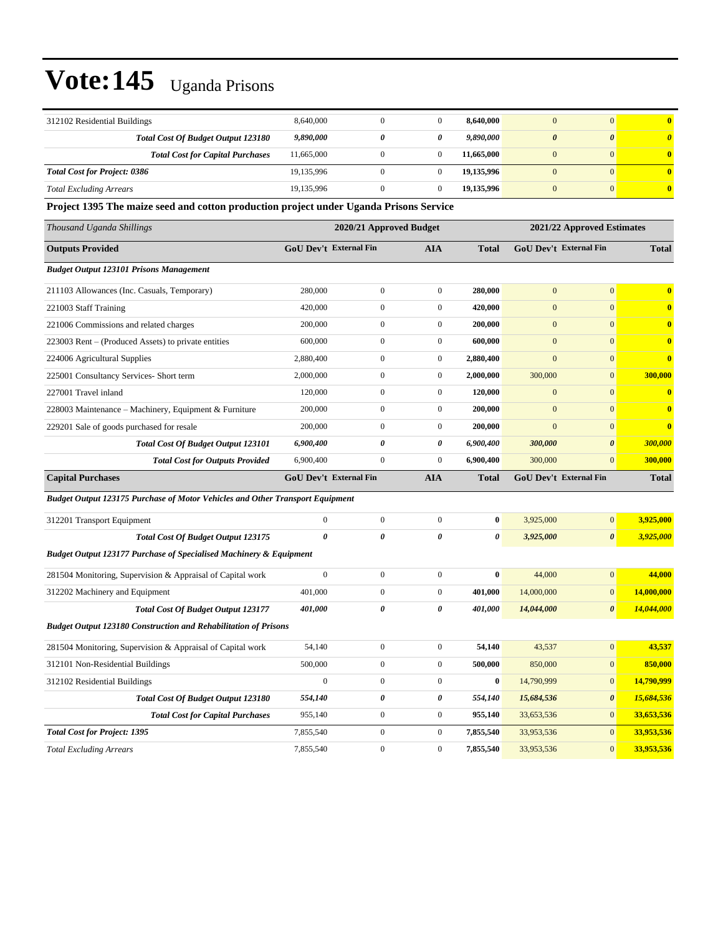| 312102 Residential Buildings              | 8,640,000  |   |   | 8,640,000  | $\Omega$ | $\mathbf{0}$          |
|-------------------------------------------|------------|---|---|------------|----------|-----------------------|
| <b>Total Cost Of Budget Output 123180</b> | 9,890,000  | 0 | 0 | 9,890,000  | $\theta$ | $\boldsymbol{\theta}$ |
| <b>Total Cost for Capital Purchases</b>   | 11,665,000 |   |   | 11.665.000 | $\Omega$ | $\mathbf{0}$          |
| <b>Total Cost for Project: 0386</b>       | 19,135,996 |   |   | 19,135,996 |          | $\mathbf{0}$          |
| <b>Total Excluding Arrears</b>            | 19,135,996 |   |   | 19,135,996 | $\Omega$ | $\mathbf{0}$          |

**Project 1395 The maize seed and cotton production project under Uganda Prisons Service**

| Thousand Uganda Shillings                                                            |              | 2020/21 Approved Budget       |                       |                       |                  | 2021/22 Approved Estimates    |              |
|--------------------------------------------------------------------------------------|--------------|-------------------------------|-----------------------|-----------------------|------------------|-------------------------------|--------------|
| <b>Outputs Provided</b>                                                              |              | GoU Dev't External Fin        | <b>AIA</b>            | <b>Total</b>          |                  | <b>GoU Dev't External Fin</b> | <b>Total</b> |
| <b>Budget Output 123101 Prisons Management</b>                                       |              |                               |                       |                       |                  |                               |              |
| 211103 Allowances (Inc. Casuals, Temporary)                                          | 280,000      | $\overline{0}$                | $\mathbf{0}$          | 280,000               | $\overline{0}$   | $\overline{0}$                | $\bf{0}$     |
| 221003 Staff Training                                                                | 420,000      | $\overline{0}$                | $\mathbf{0}$          | 420,000               | $\overline{0}$   | $\overline{0}$                | $\mathbf{0}$ |
| 221006 Commissions and related charges                                               | 200,000      | $\overline{0}$                | $\mathbf{0}$          | 200,000               | $\overline{0}$   | $\overline{0}$                | $\bf{0}$     |
| 223003 Rent – (Produced Assets) to private entities                                  | 600,000      | $\mathbf{0}$                  | $\boldsymbol{0}$      | 600,000               | $\boldsymbol{0}$ | $\overline{0}$                | $\bf{0}$     |
| 224006 Agricultural Supplies                                                         | 2,880,400    | $\overline{0}$                | $\boldsymbol{0}$      | 2,880,400             | $\overline{0}$   | $\overline{0}$                | $\bf{0}$     |
| 225001 Consultancy Services- Short term                                              | 2,000,000    | $\boldsymbol{0}$              | $\boldsymbol{0}$      | 2,000,000             | 300,000          | $\overline{0}$                | 300,000      |
| 227001 Travel inland                                                                 | 120,000      | $\overline{0}$                | $\mathbf{0}$          | 120,000               | $\mathbf{0}$     | $\overline{0}$                | $\bf{0}$     |
| 228003 Maintenance - Machinery, Equipment & Furniture                                | 200,000      | $\overline{0}$                | $\mathbf{0}$          | 200,000               | $\mathbf{0}$     | $\overline{0}$                | $\bf{0}$     |
| 229201 Sale of goods purchased for resale                                            | 200,000      | $\overline{0}$                | $\mathbf{0}$          | 200,000               | $\overline{0}$   | $\overline{0}$                | $\bf{0}$     |
| Total Cost Of Budget Output 123101                                                   | 6,900,400    | 0                             | $\boldsymbol{\theta}$ | 6,900,400             | 300,000          | $\boldsymbol{\theta}$         | 300,000      |
| <b>Total Cost for Outputs Provided</b>                                               | 6,900,400    | $\overline{0}$                | $\mathbf{0}$          | 6,900,400             | 300,000          | $\overline{0}$                | 300,000      |
| <b>Capital Purchases</b>                                                             |              | <b>GoU Dev't External Fin</b> | <b>AIA</b>            | Total                 |                  | <b>GoU Dev't External Fin</b> | <b>Total</b> |
| <b>Budget Output 123175 Purchase of Motor Vehicles and Other Transport Equipment</b> |              |                               |                       |                       |                  |                               |              |
| 312201 Transport Equipment                                                           | $\mathbf{0}$ | $\overline{0}$                | $\mathbf{0}$          | $\bf{0}$              | 3,925,000        | $\overline{0}$                | 3,925,000    |
| Total Cost Of Budget Output 123175                                                   | 0            | 0                             | 0                     | 0                     | 3,925,000        | $\boldsymbol{\theta}$         | 3,925,000    |
| <b>Budget Output 123177 Purchase of Specialised Machinery &amp; Equipment</b>        |              |                               |                       |                       |                  |                               |              |
| 281504 Monitoring, Supervision & Appraisal of Capital work                           | $\mathbf{0}$ | $\overline{0}$                | $\boldsymbol{0}$      | $\bf{0}$              | 44,000           | $\overline{0}$                | 44,000       |
| 312202 Machinery and Equipment                                                       | 401,000      | $\mathbf{0}$                  | $\overline{0}$        | 401,000               | 14,000,000       | $\overline{0}$                | 14,000,000   |
| <b>Total Cost Of Budget Output 123177</b>                                            | 401,000      | 0                             | 0                     | <i><b>401,000</b></i> | 14,044,000       | $\boldsymbol{\theta}$         | 14,044,000   |
| <b>Budget Output 123180 Construction and Rehabilitation of Prisons</b>               |              |                               |                       |                       |                  |                               |              |
| 281504 Monitoring, Supervision & Appraisal of Capital work                           | 54,140       | $\overline{0}$                | $\boldsymbol{0}$      | 54,140                | 43,537           | $\overline{0}$                | 43,537       |
| 312101 Non-Residential Buildings                                                     | 500,000      | $\overline{0}$                | $\boldsymbol{0}$      | 500,000               | 850,000          | $\overline{0}$                | 850,000      |
| 312102 Residential Buildings                                                         | $\mathbf{0}$ | $\overline{0}$                | $\boldsymbol{0}$      | $\bf{0}$              | 14,790,999       | $\mathbf{0}$                  | 14,790,999   |
| Total Cost Of Budget Output 123180                                                   | 554,140      | $\theta$                      | $\boldsymbol{\theta}$ | 554,140               | 15,684,536       | $\boldsymbol{\theta}$         | 15,684,536   |
| <b>Total Cost for Capital Purchases</b>                                              | 955,140      | $\overline{0}$                | $\boldsymbol{0}$      | 955,140               | 33,653,536       | $\overline{0}$                | 33,653,536   |
| <b>Total Cost for Project: 1395</b>                                                  | 7,855,540    | $\overline{0}$                | $\boldsymbol{0}$      | 7,855,540             | 33,953,536       | $\overline{0}$                | 33,953,536   |
| <b>Total Excluding Arrears</b>                                                       | 7,855,540    | $\overline{0}$                | $\mathbf{0}$          | 7,855,540             | 33,953,536       | $\overline{0}$                | 33,953,536   |